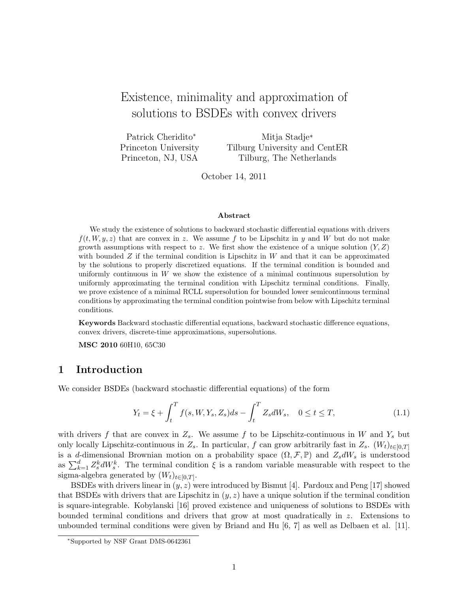# Existence, minimality and approximation of solutions to BSDEs with convex drivers

Patrick Cheridito<sup>∗</sup> Princeton University Princeton, NJ, USA Mitja Stadje\* Tilburg University and CentER Tilburg, The Netherlands

October 14, 2011

#### Abstract

We study the existence of solutions to backward stochastic differential equations with drivers  $f(t, W, y, z)$  that are convex in z. We assume f to be Lipschitz in y and W but do not make growth assumptions with respect to z. We first show the existence of a unique solution  $(Y, Z)$ with bounded  $Z$  if the terminal condition is Lipschitz in  $W$  and that it can be approximated by the solutions to properly discretized equations. If the terminal condition is bounded and uniformly continuous in  $W$  we show the existence of a minimal continuous supersolution by uniformly approximating the terminal condition with Lipschitz terminal conditions. Finally, we prove existence of a minimal RCLL supersolution for bounded lower semicontinuous terminal conditions by approximating the terminal condition pointwise from below with Lipschitz terminal conditions.

Keywords Backward stochastic differential equations, backward stochastic difference equations, convex drivers, discrete-time approximations, supersolutions.

MSC 2010 60H10, 65C30

## 1 Introduction

We consider BSDEs (backward stochastic differential equations) of the form

$$
Y_t = \xi + \int_t^T f(s, W, Y_s, Z_s) ds - \int_t^T Z_s dW_s, \quad 0 \le t \le T,
$$
\n(1.1)

with drivers f that are convex in  $Z_s$ . We assume f to be Lipschitz-continuous in W and  $Y_s$  but only locally Lipschitz-continuous in  $Z_s$ . In particular, f can grow arbitrarily fast in  $Z_s$ .  $(W_t)_{t\in[0,T]}$ is a d-dimensional Brownian motion on a probability space  $(\Omega, \mathcal{F}, \mathbb{P})$  and  $Z_s dW_s$  is understood as  $\sum_{k=1}^d Z_s^k dW_s^k$ . The terminal condition  $\xi$  is a random variable measurable with respect to the sigma-algebra generated by  $(W_t)_{t \in [0,T]}$ .

BSDEs with drivers linear in  $(y, z)$  were introduced by Bismut [4]. Pardoux and Peng [17] showed that BSDEs with drivers that are Lipschitz in  $(y, z)$  have a unique solution if the terminal condition is square-integrable. Kobylanski [16] proved existence and uniqueness of solutions to BSDEs with bounded terminal conditions and drivers that grow at most quadratically in z. Extensions to unbounded terminal conditions were given by Briand and Hu [6, 7] as well as Delbaen et al. [11].

<sup>∗</sup>Supported by NSF Grant DMS-0642361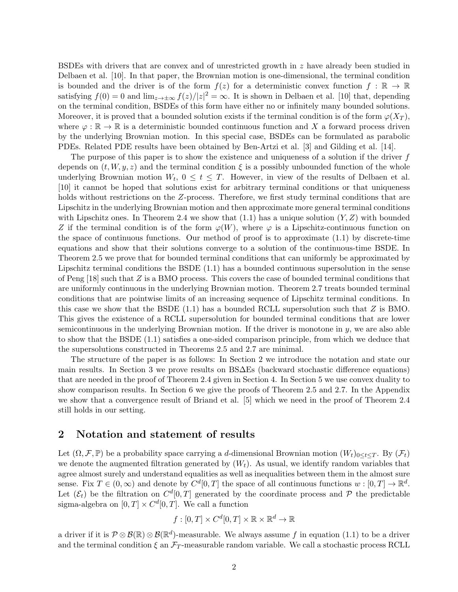BSDEs with drivers that are convex and of unrestricted growth in z have already been studied in Delbaen et al. [10]. In that paper, the Brownian motion is one-dimensional, the terminal condition is bounded and the driver is of the form  $f(z)$  for a deterministic convex function  $f : \mathbb{R} \to \mathbb{R}$ satisfying  $f(0) = 0$  and  $\lim_{z \to \pm \infty} f(z)/|z|^2 = \infty$ . It is shown in Delbaen et al. [10] that, depending on the terminal condition, BSDEs of this form have either no or infinitely many bounded solutions. Moreover, it is proved that a bounded solution exists if the terminal condition is of the form  $\varphi(X_T)$ , where  $\varphi : \mathbb{R} \to \mathbb{R}$  is a deterministic bounded continuous function and X a forward process driven by the underlying Brownian motion. In this special case, BSDEs can be formulated as parabolic PDEs. Related PDE results have been obtained by Ben-Artzi et al. [3] and Gilding et al. [14].

The purpose of this paper is to show the existence and uniqueness of a solution if the driver  $f$ depends on  $(t, W, y, z)$  and the terminal condition  $\xi$  is a possibly unbounded function of the whole underlying Brownian motion  $W_t$ ,  $0 \le t \le T$ . However, in view of the results of Delbaen et al. [10] it cannot be hoped that solutions exist for arbitrary terminal conditions or that uniqueness holds without restrictions on the Z-process. Therefore, we first study terminal conditions that are Lipschitz in the underlying Brownian motion and then approximate more general terminal conditions with Lipschitz ones. In Theorem 2.4 we show that  $(1.1)$  has a unique solution  $(Y, Z)$  with bounded Z if the terminal condition is of the form  $\varphi(W)$ , where  $\varphi$  is a Lipschitz-continuous function on the space of continuous functions. Our method of proof is to approximate (1.1) by discrete-time equations and show that their solutions converge to a solution of the continuous-time BSDE. In Theorem 2.5 we prove that for bounded terminal conditions that can uniformly be approximated by Lipschitz terminal conditions the BSDE (1.1) has a bounded continuous supersolution in the sense of Peng  $[18]$  such that Z is a BMO process. This covers the case of bounded terminal conditions that are uniformly continuous in the underlying Brownian motion. Theorem 2.7 treats bounded terminal conditions that are pointwise limits of an increasing sequence of Lipschitz terminal conditions. In this case we show that the BSDE  $(1.1)$  has a bounded RCLL supersolution such that Z is BMO. This gives the existence of a RCLL supersolution for bounded terminal conditions that are lower semicontinuous in the underlying Brownian motion. If the driver is monotone in y, we are also able to show that the BSDE (1.1) satisfies a one-sided comparison principle, from which we deduce that the supersolutions constructed in Theorems 2.5 and 2.7 are minimal.

The structure of the paper is as follows: In Section 2 we introduce the notation and state our main results. In Section 3 we prove results on BS∆Es (backward stochastic difference equations) that are needed in the proof of Theorem 2.4 given in Section 4. In Section 5 we use convex duality to show comparison results. In Section 6 we give the proofs of Theorem 2.5 and 2.7. In the Appendix we show that a convergence result of Briand et al. [5] which we need in the proof of Theorem 2.4 still holds in our setting.

## 2 Notation and statement of results

Let  $(\Omega, \mathcal{F}, \mathbb{P})$  be a probability space carrying a d-dimensional Brownian motion  $(W_t)_{0 \leq t \leq T}$ . By  $(\mathcal{F}_t)$ we denote the augmented filtration generated by  $(W_t)$ . As usual, we identify random variables that agree almost surely and understand equalities as well as inequalities between them in the almost sure sense. Fix  $T \in (0, \infty)$  and denote by  $C^{d}[0, T]$  the space of all continuous functions  $w : [0, T] \to \mathbb{R}^{d}$ . Let  $(\mathcal{E}_t)$  be the filtration on  $C^d[0,T]$  generated by the coordinate process and P the predictable sigma-algebra on  $[0, T] \times C^d[0, T]$ . We call a function

$$
f: [0, T] \times C^d[0, T] \times \mathbb{R} \times \mathbb{R}^d \to \mathbb{R}
$$

a driver if it is  $\mathcal{P} \otimes \mathcal{B}(\mathbb{R}) \otimes \mathcal{B}(\mathbb{R}^d)$ -measurable. We always assume f in equation (1.1) to be a driver and the terminal condition  $\xi$  an  $\mathcal{F}_T$ -measurable random variable. We call a stochastic process RCLL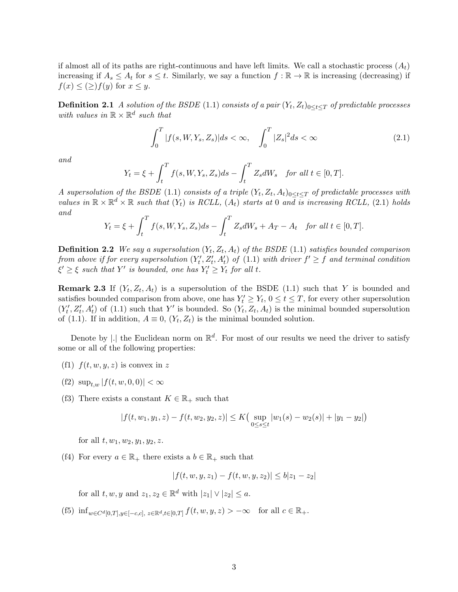if almost all of its paths are right-continuous and have left limits. We call a stochastic process  $(A_t)$ increasing if  $A_s \leq A_t$  for  $s \leq t$ . Similarly, we say a function  $f : \mathbb{R} \to \mathbb{R}$  is increasing (decreasing) if  $f(x) \leq (\geq) f(y)$  for  $x \leq y$ .

**Definition 2.1** A solution of the BSDE (1.1) consists of a pair  $(Y_t, Z_t)_{0 \leq t \leq T}$  of predictable processes with values in  $\mathbb{R} \times \mathbb{R}^d$  such that

$$
\int_{0}^{T} |f(s, W, Y_s, Z_s)| ds < \infty, \quad \int_{0}^{T} |Z_s|^2 ds < \infty
$$
\n(2.1)

and

$$
Y_t = \xi + \int_t^T f(s, W, Y_s, Z_s) ds - \int_t^T Z_s dW_s \quad \text{for all } t \in [0, T].
$$

A supersolution of the BSDE (1.1) consists of a triple  $(Y_t, Z_t, A_t)_{0 \leq t \leq T}$  of predictable processes with values in  $\mathbb{R} \times \mathbb{R}^d \times \mathbb{R}$  such that  $(Y_t)$  is RCLL,  $(A_t)$  starts at 0 and is increasing RCLL, (2.1) holds and

$$
Y_t = \xi + \int_t^T f(s, W, Y_s, Z_s) ds - \int_t^T Z_s dW_s + A_T - A_t \quad \text{for all } t \in [0, T].
$$

**Definition 2.2** We say a supersolution  $(Y_t, Z_t, A_t)$  of the BSDE  $(1.1)$  satisfies bounded comparison from above if for every supersolution  $(Y'_t, Z'_t, A'_t)$  of  $(1.1)$  with driver  $f' \ge f$  and terminal condition  $\xi' \geq \xi$  such that Y' is bounded, one has  $Y'_t \geq Y_t$  for all t.

**Remark 2.3** If  $(Y_t, Z_t, A_t)$  is a supersolution of the BSDE (1.1) such that Y is bounded and satisfies bounded comparison from above, one has  $Y_t' \geq Y_t$ ,  $0 \leq t \leq T$ , for every other supersolution  $(Y'_t, Z'_t, A'_t)$  of (1.1) such that Y' is bounded. So  $(Y_t, Z_t, A_t)$  is the minimal bounded supersolution of (1.1). If in addition,  $A \equiv 0$ ,  $(Y_t, Z_t)$  is the minimal bounded solution.

Denote by |. the Euclidean norm on  $\mathbb{R}^d$ . For most of our results we need the driver to satisfy some or all of the following properties:

- (f1)  $f(t, w, y, z)$  is convex in z
- (f2)  $\sup_{t,w} |f(t,w,0,0)| < \infty$
- (f3) There exists a constant  $K \in \mathbb{R}_+$  such that

$$
|f(t, w_1, y_1, z) - f(t, w_2, y_2, z)| \le K \Big( \sup_{0 \le s \le t} |w_1(s) - w_2(s)| + |y_1 - y_2| \Big)
$$

for all  $t, w_1, w_2, y_1, y_2, z$ .

(f4) For every  $a \in \mathbb{R}_+$  there exists a  $b \in \mathbb{R}_+$  such that

$$
|f(t, w, y, z_1) - f(t, w, y, z_2)| \le b|z_1 - z_2|
$$

for all  $t, w, y$  and  $z_1, z_2 \in \mathbb{R}^d$  with  $|z_1| \vee |z_2| \leq a$ .

(f5)  $\inf_{w \in C^d[0,T], y \in [-c,c], z \in \mathbb{R}^d, t \in [0,T]} f(t,w,y,z) > -\infty$  for all  $c \in \mathbb{R}_+$ .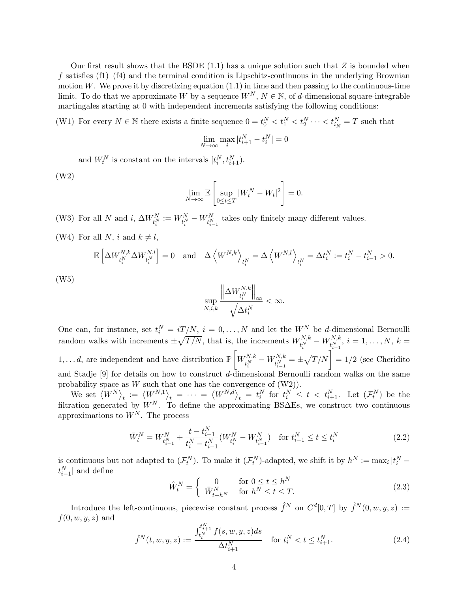Our first result shows that the BSDE  $(1.1)$  has a unique solution such that Z is bounded when f satisfies  $(f1)$ – $(f4)$  and the terminal condition is Lipschitz-continuous in the underlying Brownian motion  $W$ . We prove it by discretizing equation  $(1.1)$  in time and then passing to the continuous-time limit. To do that we approximate W by a sequence  $W^N$ ,  $N \in \mathbb{N}$ , of d-dimensional square-integrable martingales starting at 0 with independent increments satisfying the following conditions:

(W1) For every  $N \in \mathbb{N}$  there exists a finite sequence  $0 = t_0^N < t_1^N < t_2^N \cdots < t_{i_N}^N = T$  such that  $\lim_{N \to \infty} \max_{i} |t_{i+1}^{N} - t_{i}^{N}| = 0$ 

and  $W_t^N$  is constant on the intervals  $[t_i^N, t_{i+1}^N)$ .

(W2)

$$
\lim_{N \to \infty} \mathbb{E} \left[ \sup_{0 \le t \le T} |W_t^N - W_t|^2 \right] = 0.
$$

(W3) For all N and  $i, \Delta W_{t_i^N}^N := W_{t_i^N}^N - W_{t_{i-1}^N}^N$  takes only finitely many different values.

(W4) For all N, i and  $k \neq l$ ,

$$
\mathbb{E}\left[\Delta W_{t_i^N}^{N,k}\Delta W_{t_i^N}^{N,l}\right] = 0 \text{ and } \Delta \left\langle W^{N,k}\right\rangle_{t_i^N} = \Delta \left\langle W^{N,l}\right\rangle_{t_i^N} = \Delta t_i^N := t_i^N - t_{i-1}^N > 0.
$$

(W5)

$$
\sup_{N,i,k}\frac{\left\|\Delta W_{t_{i}^{N}}^{N,k}\right\|_{\infty}}{\sqrt{\Delta t_{i}^{N}}}<\infty.
$$

One can, for instance, set  $t_i^N = iT/N$ ,  $i = 0, ..., N$  and let the  $W_i^N$  be d-dimensional Bernoulli random walks with increments  $\pm \sqrt{T/N}$ , that is, the increments  $W_{N,k}^{N,k}$  $\frac{t^{N,k}_i}{t^{N}_i}-W^{N,k}_{t^{N}_{i-1}}$  $t^{N,K}_{i-1}, i = 1, \ldots, N, k =$  $1, \ldots d$ , are independent and have distribution  $\mathbb{P}\left[W_{\mu N}^{N,k}\right]$  $\frac{t^{N,k}_i}{t^{N}_i}-W^{N,k}_{t^{N}_{i-1}}$  $t_{t_{i-1}}^{N,k} = \pm \sqrt{T/N}$  = 1/2 (see Cheridito and Stadje  $[9]$  for details on how to construct d-dimensional Bernoulli random walks on the same probability space as  $W$  such that one has the convergence of  $(W2)$ ).

We set  $\langle W^N\rangle_t := \langle W^{N,1}\rangle_t = \cdots = \langle W^{N,d}\rangle_t = t_i^N$  for  $t_i^N \leq t < t_{i+1}^N$ . Let  $(\mathcal{F}_t^N)$  be the filtration generated by  $W^N$ . To define the approximating BS $\Delta$ Es, we construct two continuous approximations to  $W^N$ . The process

$$
\bar{W}_t^N = W_{t_{i-1}^N}^N + \frac{t - t_{i-1}^N}{t_i^N - t_{i-1}^N} (W_{t_i^N}^N - W_{t_{i-1}^N}^N) \quad \text{for } t_{i-1}^N \le t \le t_i^N \tag{2.2}
$$

is continuous but not adapted to  $(\mathcal{F}_t^N)$ . To make it  $(\mathcal{F}_t^N)$ -adapted, we shift it by  $h^N := \max_i |t_i^N$  $t_{i-1}^N$  and define

$$
\hat{W}_t^N = \begin{cases}\n0 & \text{for } 0 \le t \le h^N \\
\bar{W}_{t-h^N}^N & \text{for } h^N \le t \le T.\n\end{cases}
$$
\n(2.3)

Introduce the left-continuous, piecewise constant process  $\hat{f}^N$  on  $C^d[0,T]$  by  $\hat{f}^N(0,w,y,z) :=$  $f(0, w, y, z)$  and

$$
\hat{f}^{N}(t, w, y, z) := \frac{\int_{t_{i}^{N}}^{t_{i+1}^{N}} f(s, w, y, z) ds}{\Delta t_{i+1}^{N}} \quad \text{for } t_{i}^{N} < t \leq t_{i+1}^{N}.
$$
\n(2.4)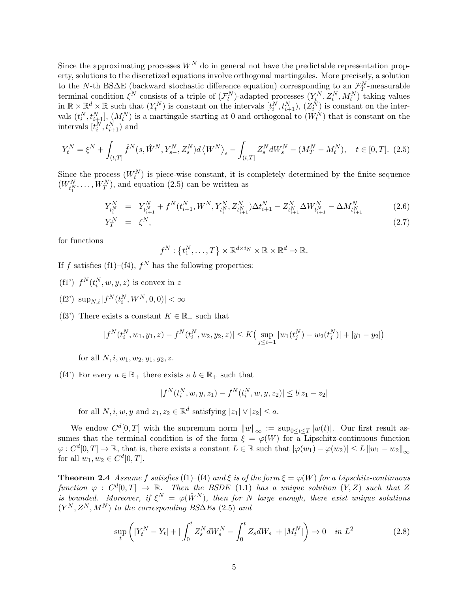Since the approximating processes  $W^N$  do in general not have the predictable representation property, solutions to the discretized equations involve orthogonal martingales. More precisely, a solution to the N-th BS $\Delta E$  (backward stochastic difference equation) corresponding to an  $\mathcal{F}_T^N$ -measurable T terminal condition  $\xi^N$  consists of a triple of  $(\mathcal{F}_t^N)$ -adapted processes  $(Y_t^N, Z_t^N, M_t^N)$  taking values in  $\mathbb{R} \times \mathbb{R}^d \times \mathbb{R}$  such that  $(Y_t^N)$  is constant on the intervals  $[t_i^N, t_{i+1}^N), (Z_t^N)$  is constant on the intervals  $(t_i^N, t_{i+1}^N], (M_t^N)$  is a martingale starting at 0 and orthogonal to  $(W_t^N)$  that is constant on the intervals  $[t_i^N, t_{i+1}^N)$  and

$$
Y_t^N = \xi^N + \int_{(t,T]} \hat{f}^N(s, \hat{W}^N, Y_{s-}^N, Z_s^N) d\langle W^N \rangle_s - \int_{(t,T]} Z_s^N dW_s^N - (M_T^N - M_t^N), \quad t \in [0,T].
$$
 (2.5)

Since the process  $(W_t^N)$  is piece-wise constant, it is completely determined by the finite sequence  $(W_{t_1^N}^N, \ldots, W_T^N)$ , and equation (2.5) can be written as

$$
Y_{t_i^N}^N = Y_{t_{i+1}^N}^N + f^N(t_{i+1}^N, W^N, Y_{t_i^N}^N, Z_{t_{i+1}^N}^N) \Delta t_{i+1}^N - Z_{t_{i+1}^N}^N \Delta W_{t_{i+1}^N}^N - \Delta M_{t_{i+1}^N}^N
$$
\n
$$
Y^N = \epsilon^N
$$
\n(2.6)

$$
Y_T^N = \xi^N, \tag{2.7}
$$

for functions

$$
f^N: \{t_1^N, \ldots, T\} \times \mathbb{R}^{d \times i_N} \times \mathbb{R} \times \mathbb{R}^d \to \mathbb{R}.
$$

If f satisfies (f1)–(f4),  $f<sup>N</sup>$  has the following properties:

- (f1')  $f^N(t_i^N, w, y, z)$  is convex in z
- (f2')  $\sup_{N,i} |f^N(t_i^N, W^N, 0, 0)| < \infty$
- (f3') There exists a constant  $K \in \mathbb{R}_+$  such that

$$
|f^N(t_i^N, w_1, y_1, z) - f^N(t_i^N, w_2, y_2, z)| \le K \left( \sup_{j \le i-1} |w_1(t_j^N) - w_2(t_j^N)| + |y_1 - y_2| \right)
$$

for all  $N, i, w_1, w_2, y_1, y_2, z$ .

(f4') For every  $a \in \mathbb{R}_+$  there exists a  $b \in \mathbb{R}_+$  such that

$$
|f^N(t_i^N, w, y, z_1) - f^N(t_i^N, w, y, z_2)| \le b|z_1 - z_2|
$$

for all  $N, i, w, y$  and  $z_1, z_2 \in \mathbb{R}^d$  satisfying  $|z_1| \vee |z_2| \leq a$ .

We endow  $C^{d}[0,T]$  with the supremum norm  $||w||_{\infty} := \sup_{0 \leq t \leq T} |w(t)|$ . Our first result assumes that the terminal condition is of the form  $\ddot{\xi} = \phi(W)$  for a Lipschitz-continuous function  $\varphi: C^{d}[0,T] \to \mathbb{R}$ , that is, there exists a constant  $L \in \mathbb{R}$  such that  $|\varphi(w_1) - \varphi(w_2)| \leq L ||w_1 - w_2||_{\infty}$ for all  $w_1, w_2 \in C^d[0, T]$ .

**Theorem 2.4** Assume f satisfies (f1)–(f4) and  $\xi$  is of the form  $\xi = \varphi(W)$  for a Lipschitz-continuous function  $\varphi : C^d[0,T] \to \mathbb{R}$ . Then the BSDE (1.1) has a unique solution  $(Y,Z)$  such that Z is bounded. Moreover, if  $\xi^N = \varphi(\hat{W}^N)$ , then for N large enough, there exist unique solutions  $(Y^N, Z^N, M^N)$  to the corresponding BS $\Delta E$ s (2.5) and

$$
\sup_{t} \left( |Y_{t}^{N} - Y_{t}| + | \int_{0}^{t} Z_{s}^{N} dW_{s}^{N} - \int_{0}^{t} Z_{s} dW_{s}| + |M_{t}^{N}| \right) \to 0 \quad \text{in } L^{2}
$$
 (2.8)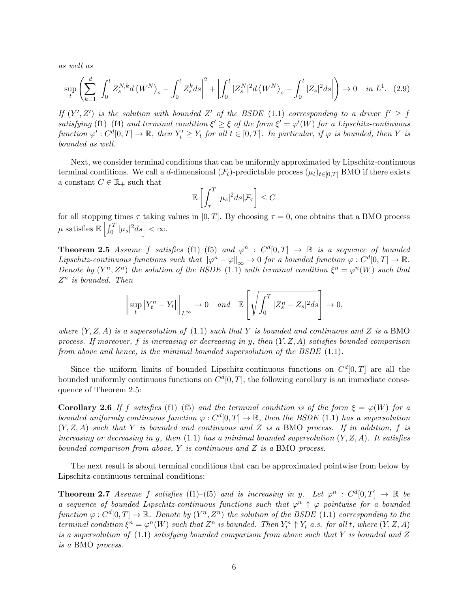as well as

$$
\sup_{t} \left( \sum_{k=1}^{d} \left| \int_{0}^{t} Z_{s}^{N,k} d\left\langle W^{N} \right\rangle_{s} - \int_{0}^{t} Z_{s}^{k} ds \right|^{2} + \left| \int_{0}^{t} |Z_{s}^{N}|^{2} d\left\langle W^{N} \right\rangle_{s} - \int_{0}^{t} |Z_{s}|^{2} ds \right| \right) \to 0 \quad \text{in } L^{1}.
$$
 (2.9)

If  $(Y', Z')$  is the solution with bounded Z' of the BSDE (1.1) corresponding to a driver  $f' \geq f$ satisfying (f1)–(f4) and terminal condition  $\xi' \geq \xi$  of the form  $\xi' = \varphi'(W)$  for a Lipschitz-continuous  $function \varphi': C^{d}[0,T] \to \mathbb{R}, \text{ then } Y'_{t} \geq Y_{t} \text{ for all } t \in [0,T]. \text{ In particular, if } \varphi \text{ is bounded, then } Y \text{ is a finite.}$ bounded as well.

Next, we consider terminal conditions that can be uniformly approximated by Lipschitz-continuous terminal conditions. We call a d-dimensional  $(\mathcal{F}_t)$ -predictable process  $(\mu_t)_{t\in[0,T]}$  BMO if there exists a constant  $C \in \mathbb{R}_+$  such that

$$
\mathbb{E}\left[\int_{\tau}^{T}|\mu_{s}|^{2}ds|\mathcal{F}_{\tau}\right]\leq C
$$

for all stopping times  $\tau$  taking values in [0, T]. By choosing  $\tau = 0$ , one obtains that a BMO process  $\mu$  satisfies  $\mathbb{E}\left[\int_0^T|\mu_s|^2ds\right]<\infty.$ 

**Theorem 2.5** Assume f satisfies (f1)–(f5) and  $\varphi^n$  :  $C^d[0,T] \to \mathbb{R}$  is a sequence of bounded Lipschitz-continuous functions such that  $\|\varphi^n - \varphi\|_{\infty} \to 0$  for a bounded function  $\varphi : C^d[0,T] \to \mathbb{R}$ . Denote by  $(Y^n, Z^n)$  the solution of the BSDE (1.1) with terminal condition  $\xi^n = \varphi^n(W)$  such that  $Z^n$  is bounded. Then

$$
\left\|\sup_t|Y_t^n-Y_t|\right\|_{L^\infty}\to 0
$$
 and  $\mathbb{E}\left[\sqrt{\int_0^T|Z_s^n-Z_s|^2ds}\right]\to 0,$ 

where  $(Y, Z, A)$  is a supersolution of (1.1) such that Y is bounded and continuous and Z is a BMO process. If moreover, f is increasing or decreasing in y, then  $(Y, Z, A)$  satisfies bounded comparison from above and hence, is the minimal bounded supersolution of the BSDE (1.1).

Since the uniform limits of bounded Lipschitz-continuous functions on  $C^{d}[0,T]$  are all the bounded uniformly continuous functions on  $C^{d}[0,T]$ , the following corollary is an immediate consequence of Theorem 2.5:

**Corollary 2.6** If f satisfies (f1)–(f5) and the terminal condition is of the form  $\xi = \varphi(W)$  for a bounded uniformly continuous function  $\varphi: C^d[0,T] \to \mathbb{R}$ , then the BSDE (1.1) has a supersolution  $(Y, Z, A)$  such that Y is bounded and continuous and Z is a BMO process. If in addition, f is increasing or decreasing in y, then  $(1.1)$  has a minimal bounded supersolution  $(Y, Z, A)$ . It satisfies bounded comparison from above,  $Y$  is continuous and  $Z$  is a BMO process.

The next result is about terminal conditions that can be approximated pointwise from below by Lipschitz-continuous terminal conditions:

**Theorem 2.7** Assume f satisfies (f1)–(f5) and is increasing in y. Let  $\varphi^n$ :  $C^d[0,T] \to \mathbb{R}$  be a sequence of bounded Lipschitz-continuous functions such that  $\varphi^n \uparrow \varphi$  pointwise for a bounded function  $\varphi: C^d[0,T] \to \mathbb{R}$ . Denote by  $(Y^n,Z^n)$  the solution of the BSDE (1.1) corresponding to the terminal condition  $\xi^n = \varphi^n(W)$  such that  $Z^n$  is bounded. Then  $Y_t^n \uparrow Y_t$  a.s. for all t, where  $(Y, Z, A)$ is a supersolution of  $(1.1)$  satisfying bounded comparison from above such that Y is bounded and Z is a BMO process.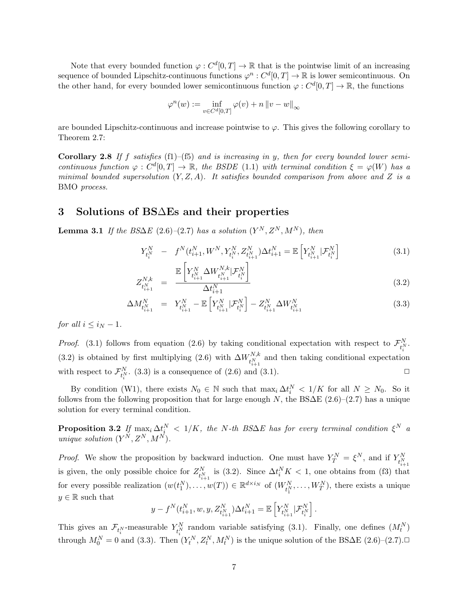Note that every bounded function  $\varphi: C^d[0,T] \to \mathbb{R}$  that is the pointwise limit of an increasing sequence of bounded Lipschitz-continuous functions  $\varphi^n : C^d[0,T] \to \mathbb{R}$  is lower semicontinuous. On the other hand, for every bounded lower semicontinuous function  $\varphi: C^d[0,T] \to \mathbb{R}$ , the functions

$$
\varphi^n(w):=\inf_{v\in C^d[0,T]}\varphi(v)+n\left\|v-w\right\|_\infty
$$

are bounded Lipschitz-continuous and increase pointwise to  $\varphi$ . This gives the following corollary to Theorem 2.7:

Corollary 2.8 If f satisfies  $(f1)$ – $(f5)$  and is increasing in y, then for every bounded lower semicontinuous function  $\varphi : C^d[0,T] \to \mathbb{R}$ , the BSDE (1.1) with terminal condition  $\xi = \varphi(W)$  has a minimal bounded supersolution  $(Y, Z, A)$ . It satisfies bounded comparison from above and Z is a BMO process.

## 3 Solutions of BS∆Es and their properties

**Lemma 3.1** If the BS $\Delta E$  (2.6)–(2.7) has a solution  $(Y^N, Z^N, M^N)$ , then

$$
Y_{t_i^N}^N - f^N(t_{i+1}^N, W^N, Y_{t_i^N}^N, Z_{t_{i+1}^N}^N) \Delta t_{i+1}^N = \mathbb{E}\left[Y_{t_{i+1}^N}^N | \mathcal{F}_{t_i^N}^N\right]
$$
(3.1)

$$
Z_{t_{i+1}^N}^{N,k} = \frac{\mathbb{E}\left[Y_{t_{i+1}^N}^N \Delta W_{t_{i+1}^N}^{N,k} | \mathcal{F}_{t_i^N}^N\right]}{\Delta t_{i+1}^N} \tag{3.2}
$$

$$
\Delta M_{t_{i+1}^N}^N = Y_{t_{i+1}^N}^N - \mathbb{E}\left[Y_{t_{i+1}^N}^N | \mathcal{F}_{t_i^N}^N\right] - Z_{t_{i+1}^N}^N \Delta W_{t_{i+1}^N}^N \tag{3.3}
$$

for all  $i \leq i_N - 1$ .

*Proof.* (3.1) follows from equation (2.6) by taking conditional expectation with respect to  $\mathcal{F}_{t_i^N}^N$ . (3.2) is obtained by first multiplying (2.6) with  $\Delta W_{1N}^{N,k}$  and then taking conditional expectation  $t_{i+1}^{N,k}$  and then taking conditional expectation with respect to  $\mathcal{F}_{t_i^N}^N$ . (3.3) is a consequence of (2.6) and (3.1).

By condition (W1), there exists  $N_0 \in \mathbb{N}$  such that  $\max_i \Delta t_i^N < 1/K$  for all  $N \ge N_0$ . So it follows from the following proposition that for large enough N, the BS $\Delta E$  (2.6)–(2.7) has a unique solution for every terminal condition.

**Proposition 3.2** If  $\max_i \Delta t_i^N < 1/K$ , the N-th BS $\Delta E$  has for every terminal condition  $\xi^N$  a unique solution  $(Y^N, Z^N, M^N)$ .

*Proof.* We show the proposition by backward induction. One must have  $Y_T^N = \xi^N$ , and if  $Y_{t_{i+1}^N}^N$ is given, the only possible choice for  $Z_{t_{i+1}^N}^N$  is (3.2). Since  $\Delta t_i^N K < 1$ , one obtains from (f3) that for every possible realization  $(w(t_1^N), \ldots, w(T)) \in \mathbb{R}^{d \times i_N}$  of  $(W_{t_1^N}^N, \ldots, W_T^N)$ , there exists a unique  $y \in \mathbb{R}$  such that

$$
y - f^{N}(t_{i+1}^{N}, w, y, Z_{t_{i+1}^{N}}^{N}) \Delta t_{i+1}^{N} = \mathbb{E}\left[Y_{t_{i+1}^{N}}^{N} | \mathcal{F}_{t_{i}^{N}}^{N}\right].
$$

This gives an  $\mathcal{F}_{t_i^N}$ -measurable  $Y_{t_i^N}^N$  random variable satisfying (3.1). Finally, one defines  $(M_t^N)$ through  $M_0^N = 0$  and (3.3). Then  $(Y_t^N, Z_t^N, M_t^N)$  is the unique solution of the BS $\Delta E$  (2.6)–(2.7).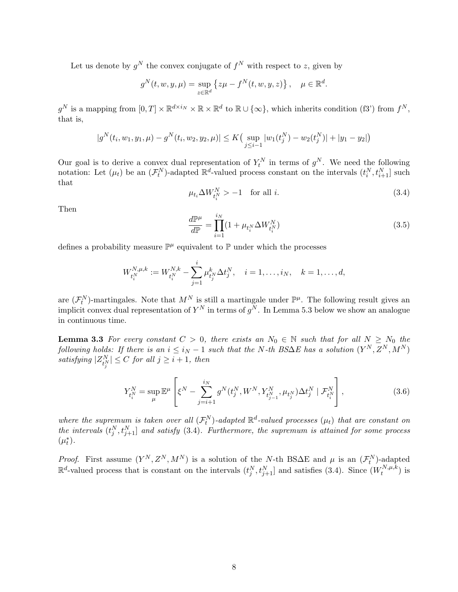Let us denote by  $g^N$  the convex conjugate of  $f^N$  with respect to z, given by

$$
g^N(t, w, y, \mu) = \sup_{z \in \mathbb{R}^d} \left\{ z\mu - f^N(t, w, y, z) \right\}, \quad \mu \in \mathbb{R}^d.
$$

 $g^N$  is a mapping from  $[0,T] \times \mathbb{R}^{d \times i_N} \times \mathbb{R} \times \mathbb{R}^d$  to  $\mathbb{R} \cup \{\infty\}$ , which inherits condition (f3') from  $f^N$ , that is,

$$
|g^N(t_i, w_1, y_1, \mu) - g^N(t_i, w_2, y_2, \mu)| \le K \Big(\sup_{j \le i-1} |w_1(t_j^N) - w_2(t_j^N)| + |y_1 - y_2|\Big)
$$

Our goal is to derive a convex dual representation of  $Y_t^N$  in terms of  $g^N$ . We need the following notation: Let  $(\mu_t)$  be an  $(\mathcal{F}_t^N)$ -adapted  $\mathbb{R}^d$ -valued process constant on the intervals  $(t_i^N, t_{i+1}^N]$  such that

$$
\mu_{t_i} \Delta W_{t_i^N}^N > -1 \quad \text{for all } i. \tag{3.4}
$$

Then

$$
\frac{d\mathbb{P}^{\mu}}{d\mathbb{P}} = \prod_{i=1}^{i_N} (1 + \mu_{t_i^N} \Delta W_{t_i^N}^N)
$$
\n(3.5)

defines a probability measure  $\mathbb{P}^{\mu}$  equivalent to  $\mathbb P$  under which the processes

$$
W_{t_i^N}^{N,\mu,k} := W_{t_i^N}^{N,k} - \sum_{j=1}^i \mu_{t_j^N}^k \Delta t_j^N, \quad i = 1, \dots, i_N, \quad k = 1, \dots, d,
$$

are  $(\mathcal{F}_t^N)$ -martingales. Note that  $M^N$  is still a martingale under  $\mathbb{P}^{\mu}$ . The following result gives an implicit convex dual representation of  $Y^N$  in terms of  $g^N$ . In Lemma 5.3 below we show an analogue in continuous time.

**Lemma 3.3** For every constant  $C > 0$ , there exists an  $N_0 \in \mathbb{N}$  such that for all  $N \ge N_0$  the following holds: If there is an  $i \le i_N - 1$  such that the N-th BS $\Delta E$  has a solution  $(Y^N,Z^N,M^N)$ satisfying  $|Z_{t_j^N}^N| \leq C$  for all  $j \geq i+1$ , then

$$
Y_{t_i^N}^N = \sup_{\mu} \mathbb{E}^{\mu} \left[ \xi^N - \sum_{j=i+1}^{i_N} g^N(t_j^N, W^N, Y_{t_{j-1}^N}^N, \mu_{t_j^N}) \Delta t_j^N \mid \mathcal{F}_{t_i^N}^N \right],
$$
\n(3.6)

where the supremum is taken over all  $(\mathcal{F}_t^N)$ -adapted  $\mathbb{R}^d$ -valued processes  $(\mu_t)$  that are constant on the intervals  $(t_j^N, t_{j+1}^N]$  and satisfy (3.4). Furthermore, the supremum is attained for some process  $(\mu_t^*).$ 

*Proof.* First assume  $(Y^N, Z^N, M^N)$  is a solution of the N-th BS $\Delta E$  and  $\mu$  is an  $(\mathcal{F}_t^N)$ -adapted  $\mathbb{R}^d$ -valued process that is constant on the intervals  $(t_j^N, t_{j+1}^N]$  and satisfies (3.4). Since  $(W_t^{N,\mu,k})$  $t^{N,\mu,\kappa}$ ) is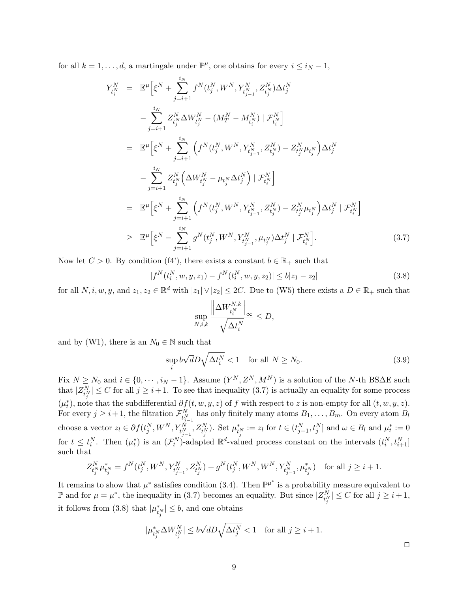for all  $k = 1, ..., d$ , a martingale under  $\mathbb{P}^{\mu}$ , one obtains for every  $i \leq i_N - 1$ ,

$$
Y_{t_i^N}^N = \mathbb{E}^{\mu} \Big[ \xi^N + \sum_{j=i+1}^{i_N} f^N(t_j^N, W^N, Y_{t_{j-1}^N}^N, Z_{t_j^N}^N) \Delta t_j^N - \sum_{j=i+1}^{i_N} Z_{t_j^N}^N \Delta W_{t_j^N}^N - (M_T^N - M_{t_i^N}^N) | \mathcal{F}_{t_i^N}^N \Big] = \mathbb{E}^{\mu} \Big[ \xi^N + \sum_{j=i+1}^{i_N} \Big( f^N(t_j^N, W^N, Y_{t_{j-1}^N}^N, Z_{t_j^N}^N) - Z_{t_j^N}^N \mu_{t_j^N} \Big) \Delta t_j^N - \sum_{j=i+1}^{i_N} Z_{t_j^N}^N \Big( \Delta W_{t_j^N}^N - \mu_{t_j^N} \Delta t_j^N \Big) | \mathcal{F}_{t_i^N}^N \Big] = \mathbb{E}^{\mu} \Big[ \xi^N + \sum_{j=i+1}^{i_N} \Big( f^N(t_j^N, W^N, Y_{t_{j-1}^N}^N, Z_{t_j^N}^N) - Z_{t_j^N}^N \mu_{t_j^N} \Big) \Delta t_j^N | \mathcal{F}_{t_i^N}^N \Big] \geq \mathbb{E}^{\mu} \Big[ \xi^N - \sum_{j=i+1}^{i_N} g^N(t_j^N, W^N, Y_{t_{j-1}^N}^N, \mu_{t_j^N}^N) \Delta t_j^N | \mathcal{F}_{t_i^N}^N \Big].
$$
 (3.7)

Now let  $C > 0$ . By condition (f4'), there exists a constant  $b \in \mathbb{R}_+$  such that

$$
|f^{N}(t_{i}^{N}, w, y, z_{1}) - f^{N}(t_{i}^{N}, w, y, z_{2})| \leq b|z_{1} - z_{2}|
$$
\n(3.8)

for all  $N, i, w, y$ , and  $z_1, z_2 \in \mathbb{R}^d$  with  $|z_1| \vee |z_2| \leq 2C$ . Due to (W5) there exists a  $D \in \mathbb{R}_+$  such that

$$
\sup_{N,i,k} \frac{\left\| \Delta W^{N,k}_{t_i^N} \right\|_{\infty}}{\sqrt{\Delta t_i^N}} \le D,
$$

and by (W1), there is an  $N_0 \in \mathbb{N}$  such that

$$
\sup_{i} b\sqrt{d}D\sqrt{\Delta t_i^N} < 1 \quad \text{for all } N \ge N_0. \tag{3.9}
$$

Fix  $N \ge N_0$  and  $i \in \{0, \cdots, i_N - 1\}$ . Assume  $(Y^N, Z^N, M^N)$  is a solution of the N-th BS $\Delta E$  such that  $|Z_{t_j^N}^N| \leq C$  for all  $j \geq i+1$ . To see that inequality (3.7) is actually an equality for some process  $(\mu_t^*),$  note that the subdifferential  $\partial f(t, w, y, z)$  of f with respect to z is non-empty for all  $(t, w, y, z)$ . For every  $j \geq i+1$ , the filtration  $\mathcal{F}_{t_{j-1}^N}^N$  has only finitely many atoms  $B_1, \ldots, B_m$ . On every atom  $B_l$ choose a vector  $z_l \in \partial f(t_j^N, W^N, Y_{t_{j-1}^N}^N, Z_{t_j^N}^N)$ . Set  $\mu_{t_j^N}^* := z_l$  for  $t \in (t_{j-1}^N, t_j^N]$  and  $\omega \in B_l$  and  $\mu_t^* := 0$ for  $t \leq t_i^N$ . Then  $(\mu_t^*)$  is an  $(\mathcal{F}_t^N)$ -adapted  $\mathbb{R}^d$ -valued process constant on the intervals  $(t_i^N, t_{i+1}^N]$ such that

$$
Z^N_{t^N_j} \mu^*_{t^N_j} = f^N(t^N_j, W^N, Y^N_{t^N_{j-1}}, Z^N_{t^N_j}) + g^N(t^N_j, W^N, W^N, Y^N_{t^N_{j-1}}, \mu^*_{t^N_j}) \text{ for all } j \geq i+1.
$$

It remains to show that  $\mu^*$  satisfies condition (3.4). Then  $\mathbb{P}^{\mu^*}$  is a probability measure equivalent to  $\mathbb P$  and for  $\mu = \mu^*$ , the inequality in (3.7) becomes an equality. But since  $|Z_{t_j^N}^N| \leq C$  for all  $j \geq i+1$ , it follows from (3.8) that  $|\mu_{t_j^N}^*| \leq b$ , and one obtains

$$
|\mu_{t_j^N}^*\Delta W_{t_j^N}^N|\le b\sqrt{d}D\sqrt{\Delta t_j^N}<1\quad\text{for all }j\ge i+1.
$$

 $\Box$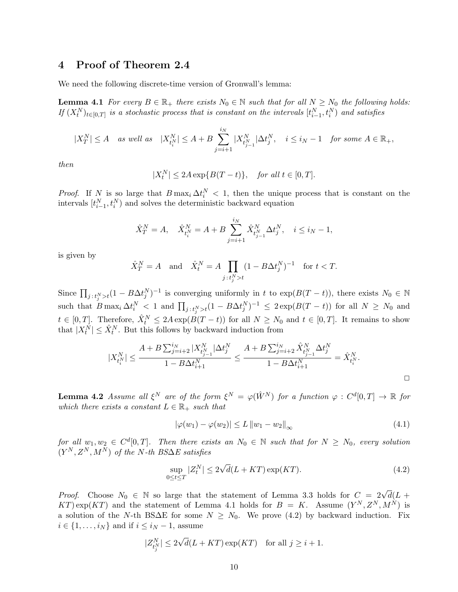## 4 Proof of Theorem 2.4

We need the following discrete-time version of Gronwall's lemma:

**Lemma 4.1** For every  $B \in \mathbb{R}_+$  there exists  $N_0 \in \mathbb{N}$  such that for all  $N \geq N_0$  the following holds: If  $(X_t^N)_{t \in [0,T]}$  is a stochastic process that is constant on the intervals  $[t_{i-1}^N, t_i^N)$  and satisfies

$$
|X^N_T|\leq A\quad as\ well\ as\quad |X^N_{t^N_i}|\leq A+B\sum_{j=i+1}^{i_N}|X^N_{t^N_{j-1}}|\Delta t^N_j,\quad i\leq i_N-1\quad for\ some\ A\in\mathbb R_+,
$$

then

$$
|X_t^N| \le 2A \exp\{B(T-t)\}, \quad \text{for all } t \in [0, T].
$$

*Proof.* If N is so large that  $B \max_i \Delta t_i^N < 1$ , then the unique process that is constant on the intervals  $[t_{i-1}^N, t_i^N)$  and solves the deterministic backward equation

$$
\hat{X}_T^N = A
$$
,  $\hat{X}_{t_i^N}^N = A + B \sum_{j=i+1}^{i_N} \hat{X}_{t_{j-1}^N}^N \Delta t_j^N$ ,  $i \le i_N - 1$ ,

is given by

$$
\hat{X}_T^N = A \quad \text{and} \quad \hat{X}_t^N = A \prod_{j \,:\, t_j^N > t} (1 - B \Delta t_j^N)^{-1} \quad \text{for } t < T.
$$

Since  $\prod_{j:t_j^N>t}(1 - B\Delta t_j^N)^{-1}$  is converging uniformly in t to  $\exp(B(T-t))$ , there exists  $N_0 \in \mathbb{N}$ such that  $B \max_i \Delta t_i^N < 1$  and  $\prod_{j \in t_j^N > t} (1 - B \Delta t_j^N)^{-1} \leq 2 \exp(B(T - t))$  for all  $N \geq N_0$  and  $t \in [0,T]$ . Therefore,  $\hat{X}_t^N \le 2A \exp(B(T-t))$  for all  $N \ge N_0$  and  $t \in [0,T]$ . It remains to show that  $|X_t^N| \leq \hat{X}_t^N$ . But this follows by backward induction from

$$
|X^N_{t^N_i}| \leq \frac{A + B\sum_{j=i+2}^{i_N} |X^N_{t^N_{j-1}}| \Delta t^N_j}{1 - B\Delta t^N_{i+1}} \leq \frac{A + B\sum_{j=i+2}^{i_N} \hat{X}^N_{t^N_{j-1}} \Delta t^N_j}{1 - B\Delta t^N_{i+1}} = \hat{X}^N_{t^N_i}.
$$

**Lemma 4.2** Assume all  $\xi^N$  are of the form  $\xi^N = \varphi(\hat{W}^N)$  for a function  $\varphi : C^d[0,T] \to \mathbb{R}$  for which there exists a constant  $L \in \mathbb{R}_+$  such that

$$
|\varphi(w_1) - \varphi(w_2)| \le L \|w_1 - w_2\|_{\infty}
$$
\n(4.1)

for all  $w_1, w_2 \in C^d[0,T]$ . Then there exists an  $N_0 \in \mathbb{N}$  such that for  $N \ge N_0$ , every solution  $(Y^N, Z^N, M^N)$  of the N-th BS∆E satisfies

$$
\sup_{0 \le t \le T} |Z_t^N| \le 2\sqrt{d}(L + KT) \exp(KT). \tag{4.2}
$$

*Proof.* Choose  $N_0 \in \mathbb{N}$  so large that the statement of Lemma 3.3 holds for  $C = 2\sqrt{d}(L +$ KT) exp(KT) and the statement of Lemma 4.1 holds for  $B = K$ . Assume  $(Y^N, Z^N, M^N)$  is a solution of the N-th BS $\Delta E$  for some  $N \geq N_0$ . We prove (4.2) by backward induction. Fix  $i \in \{1, \ldots, i_N\}$  and if  $i \leq i_N - 1$ , assume

$$
|Z^N_{t^N_j}|\leq 2\sqrt{d}(L+KT)\exp(KT)\quad\text{for all }j\geq i+1.
$$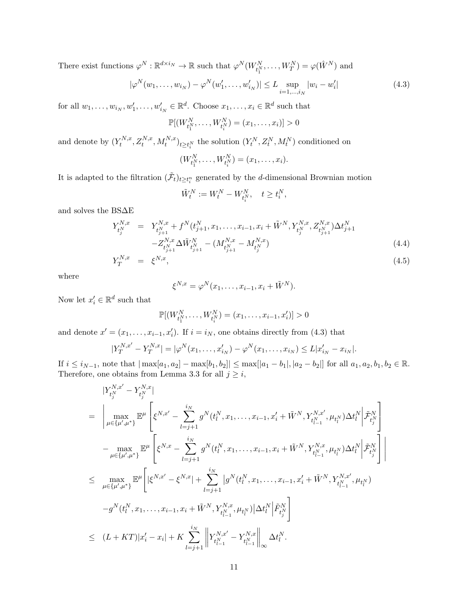There exist functions  $\varphi^N : \mathbb{R}^{d \times i_N} \to \mathbb{R}$  such that  $\varphi^N(W^N_{t_1^N}, \dots, W^N_T) = \varphi(\hat{W}^N)$  and

$$
|\varphi^{N}(w_{1},...,w_{i_{N}})-\varphi^{N}(w'_{1},...,w'_{i_{N}})| \leq L \sup_{i=1,...,i_{N}}|w_{i}-w'_{i}|
$$
\n(4.3)

for all  $w_1, \ldots, w_{i_N}, w'_1, \ldots, w'_{i_N} \in \mathbb{R}^d$ . Choose  $x_1, \ldots, x_i \in \mathbb{R}^d$  such that

$$
\mathbb{P}[(W_{t_1^N}^N, \dots, W_{t_i^N}^N) = (x_1, \dots, x_i)] > 0
$$

and denote by  $(Y_t^{N,x})$  $\{X_t^{N,x}, Z_t^{N,x}, M_t^{N,x}\}_{t\geq t_i^N}$  the solution  $(Y_t^N, Z_t^N, M_t^N)$  conditioned on

$$
(W_{t_1^N}^N, \ldots, W_{t_i^N}^N) = (x_1, \ldots, x_i).
$$

It is adapted to the filtration  $(\tilde{\mathcal{F}}_t)_{t\geq t_i^n}$  generated by the *d*-dimensional Brownian motion

$$
\tilde{W}_t^N := W_t^N - W_{t_i^N}^N, \quad t \ge t_i^N,
$$

and solves the BS∆E

$$
Y_{t_j^N}^{N,x} = Y_{t_{j+1}^N}^{N,x} + f^N(t_{j+1}^N, x_1, \dots, x_{i-1}, x_i + \tilde{W}^N, Y_{t_j^N}^{N,x}, Z_{t_{j+1}^N}^{N,x}) \Delta t_{j+1}^N - Z_{t_{j+1}^N}^{N,x} \Delta \tilde{W}_{t_{j+1}^N}^N - (M_{t_{j+1}^N}^{N,x} - M_{t_j^N}^{N,x})
$$
\n(4.4)

$$
Y_T^{N,x} = \xi^{N,x},\tag{4.5}
$$

where

$$
\xi^{N,x} = \varphi^N(x_1,\ldots,x_{i-1},x_i+\tilde{W}^N).
$$

Now let  $x'_i \in \mathbb{R}^d$  such that

$$
\mathbb{P}[(W_{t_1^N}^N, \dots, W_{t_i^N}^N) = (x_1, \dots, x_{i-1}, x_i')] > 0
$$

and denote  $x' = (x_1, \ldots, x_{i-1}, x'_i)$ . If  $i = i_N$ , one obtains directly from (4.3) that

$$
|Y_T^{N,x'} - Y_T^{N,x}| = |\varphi^N(x_1, \dots, x'_{i_N}) - \varphi^N(x_1, \dots, x_{i_N})| \le L |x'_{i_N} - x_{i_N}|.
$$

If  $i \leq i_{N-1}$ , note that  $|\max[a_1, a_2] - \max[b_1, b_2]| \leq \max[|a_1 - b_1|, |a_2 - b_2|]$  for all  $a_1, a_2, b_1, b_2 \in \mathbb{R}$ . Therefore, one obtains from Lemma 3.3 for all  $j \geq i$ ,

$$
\begin{split}\n&|Y_{t_j^N}^{N,x'} - Y_{t_j^N}^{N,x}| \\
&= \left| \max_{\mu \in \{\mu',\mu^*\}} \mathbb{E}^{\mu} \left[ \xi^{N,x'} - \sum_{l=j+1}^{i_N} g^N(t_l^N, x_1, \dots, x_{i-1}, x_i' + \tilde{W}^N, Y_{t_{l-1}^N}^{N,x'}, \mu_{t_l^N}) \Delta t_l^N \middle| \tilde{\mathcal{F}}_{t_j^N}^N \right] \right] \\
&- \max_{\mu \in \{\mu',\mu^*\}} \mathbb{E}^{\mu} \left[ \xi^{N,x} - \sum_{l=j+1}^{i_N} g^N(t_l^N, x_1, \dots, x_{i-1}, x_i + \tilde{W}^N, Y_{t_{l-1}^N}^{N,x}, \mu_{t_l^N}) \Delta t_l^N \middle| \tilde{\mathcal{F}}_{t_j^N}^N \right] \right| \\
&\leq \max_{\mu \in \{\mu',\mu^*\}} \mathbb{E}^{\mu} \left[ \left| \xi^{N,x'} - \xi^{N,x} \middle| + \sum_{l=j+1}^{i_N} \left| g^N(t_l^N, x_1, \dots, x_{i-1}, x_i' + \tilde{W}^N, Y_{t_{l-1}^N}^{N,x'}, \mu_{t_l^N}) \right| \right. \\
&\left. - g^N(t_l^N, x_1, \dots, x_{i-1}, x_i + \tilde{W}^N, Y_{t_{l-1}^N}^{N,x}, \mu_{t_l^N}) \middle| \Delta t_l^N \middle| \tilde{F}_{t_j^N}^N \right] \right] \\
&\leq (L + KT)|x_i' - x_i| + K \sum_{l=j+1}^{i_N} \left\| Y_{t_{l-1}^N}^{N,x'} - Y_{t_{l-1}^N}^{N,x} \right\|_{\infty} \Delta t_l^N.\n\end{split}
$$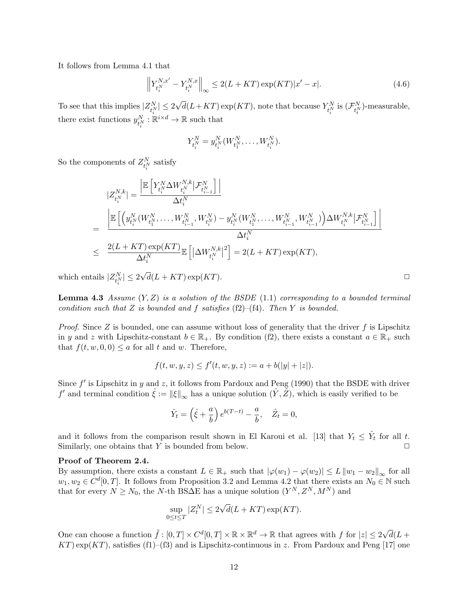It follows from Lemma 4.1 that

$$
\left\| Y_{t_i^N}^{N,x'} - Y_{t_i^N}^{N,x} \right\|_{\infty} \le 2(L + KT) \exp(KT) |x' - x|.
$$
\n(4.6)

To see that this implies  $|Z_{t_i^N}^N| \leq 2$ there exist functions  $y_{t_i^N}^N : \mathbb{R}^{i \times d} \to \mathbb{R}$  such that √  $\overline{d}(L+KT) \exp(KT)$ , note that because  $Y^N_{t_i^N}$  is  $(\mathcal{F}^N_{t_i^N})$ -measurable,

$$
Y_{t_i^N}^N = y_{t_i^N}^N(W_{t_1^N}^N, \ldots, W_{t_i^N}^N).
$$

So the components of  $Z_{t_i^N}^N$  satisfy

$$
\begin{aligned} &|Z_{t_{i}^{N}}^{N,k}|=\frac{\left|\mathbb{E}\left[Y_{t_{i}^{N}}^{N}\Delta W_{t_{i}^{N}}^{N,k}\big|\mathcal{F}_{t_{i-1}^{N}}^{N}\right]\right|}{\Delta t_{i}^{N}}\\ &=\frac{\left|\mathbb{E}\left[\left(y_{t_{i}^{N}}^{N}(W_{t_{1}^{N}}^{N},\ldots,W_{t_{i-1}^{N}}^{N},W_{t_{i}^{N}}^{N})-y_{t_{i}^{N}}^{N}(W_{t_{1}^{N}}^{N},\ldots,W_{t_{i-1}^{N}}^{N},W_{t_{i}^{N}}^{N})\right)\Delta W_{t_{i}^{N}}^{N,k}\big|\mathcal{F}_{t_{i-1}^{N}}^{N}\right|\right|}{\Delta t_{i}^{N}}\\ &\leq\frac{2(L+KT)\exp(KT)}{\Delta t_{i}^{N}}\mathbb{E}\left[\left|\Delta W_{t_{i}^{N}}^{N,k}\right|^{2}\right]=2(L+KT)\exp(KT), \end{aligned}
$$

which entails  $|Z_{t_i^N}^N| \leq 2$ √  $d(L+KT)\exp(KT)$ .

**Lemma 4.3** Assume  $(Y, Z)$  is a solution of the BSDE (1.1) corresponding to a bounded terminal condition such that Z is bounded and f satisfies  $(f2)$ – $(f4)$ . Then Y is bounded.

*Proof.* Since Z is bounded, one can assume without loss of generality that the driver f is Lipschitz in y and z with Lipschitz-constant  $b \in \mathbb{R}_+$ . By condition (f2), there exists a constant  $a \in \mathbb{R}_+$  such that  $f(t, w, 0, 0) \le a$  for all t and w. Therefore,

$$
f(t, w, y, z) \le f'(t, w, y, z) := a + b(|y| + |z|).
$$

Since  $f'$  is Lipschitz in y and z, it follows from Pardoux and Peng (1990) that the BSDE with driver f' and terminal condition  $\hat{\xi} := ||\xi||_{\infty}$  has a unique solution  $(\hat{Y}, \hat{Z})$ , which is easily verified to be

$$
\hat{Y}_t = \left(\hat{\xi} + \frac{a}{b}\right)e^{b(T-t)} - \frac{a}{b}, \quad \hat{Z}_t = 0,
$$

and it follows from the comparison result shown in El Karoui et al. [13] that  $Y_t \leq \hat{Y}_t$  for all t. Similarly, one obtains that  $Y$  is bounded from below.

#### Proof of Theorem 2.4.

By assumption, there exists a constant  $L \in \mathbb{R}_+$  such that  $|\varphi(w_1) - \varphi(w_2)| \leq L ||w_1 - w_2||_{\infty}$  for all  $w_1, w_2 \in C^d[0,T]$ . It follows from Proposition 3.2 and Lemma 4.2 that there exists an  $N_0 \in \mathbb{N}$  such that for every  $N \ge N_0$ , the N-th BS $\Delta$ E has a unique solution  $(Y^N, Z^N, M^N)$  and

$$
\sup_{0 \le t \le T} |Z_t^N| \le 2\sqrt{d}(L + KT) \exp(KT).
$$

One can choose a function  $\tilde{f}: [0,T] \times C^d[0,T] \times \mathbb{R} \times \mathbb{R}^d \to \mathbb{R}$  that agrees with f for  $|z| \leq 2\sqrt{2}$  $d(L +$  $KT)$  exp( $KT$ ), satisfies (f1)–(f3) and is Lipschitz-continuous in z. From Pardoux and Peng [17] one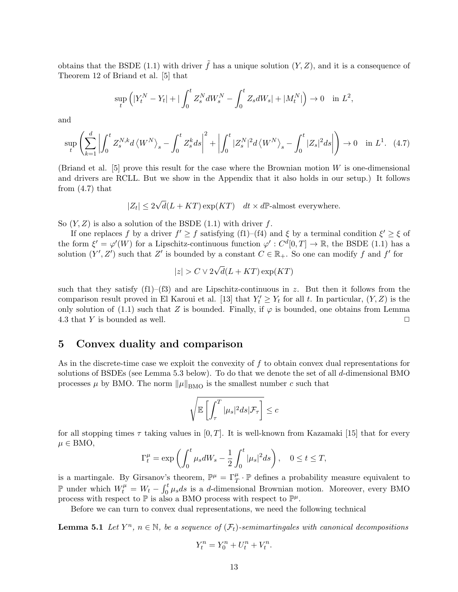obtains that the BSDE (1.1) with driver  $\tilde{f}$  has a unique solution  $(Y, Z)$ , and it is a consequence of Theorem 12 of Briand et al. [5] that

$$
\sup_{t} \left( |Y_{t}^{N} - Y_{t}| + | \int_{0}^{t} Z_{s}^{N} dW_{s}^{N} - \int_{0}^{t} Z_{s} dW_{s}| + |M_{t}^{N}| \right) \to 0 \quad \text{in } L^{2},
$$

and

$$
\sup_{t} \left( \sum_{k=1}^{d} \left| \int_{0}^{t} Z_{s}^{N,k} d\left\langle W^{N} \right\rangle_{s} - \int_{0}^{t} Z_{s}^{k} ds \right|^{2} + \left| \int_{0}^{t} |Z_{s}^{N}|^{2} d\left\langle W^{N} \right\rangle_{s} - \int_{0}^{t} |Z_{s}|^{2} ds \right| \right) \to 0 \quad \text{in } L^{1}.
$$
 (4.7)

(Briand et al.  $[5]$  prove this result for the case where the Brownian motion W is one-dimensional and drivers are RCLL. But we show in the Appendix that it also holds in our setup.) It follows from  $(4.7)$  that

$$
|Z_t| \le 2\sqrt{d}(L+KT) \exp(KT) \quad dt \times d\mathbb{P}\text{-almost everywhere.}
$$

So  $(Y, Z)$  is also a solution of the BSDE  $(1.1)$  with driver f.

If one replaces f by a driver  $f' \ge f$  satisfying (f1)–(f4) and  $\xi$  by a terminal condition  $\xi' \ge \xi$  of the form  $\xi' = \varphi'(W)$  for a Lipschitz-continuous function  $\varphi' : C^d[0,T] \to \mathbb{R}$ , the BSDE (1.1) has a solution  $(Y', Z')$  such that Z' is bounded by a constant  $C \in \mathbb{R}_+$ . So one can modify f and f' for

$$
|z| > C \vee 2\sqrt{d}(L + KT) \exp(KT)
$$

such that they satisfy  $(f1)$ – $(f3)$  and are Lipschitz-continuous in z. But then it follows from the comparison result proved in El Karoui et al. [13] that  $Y_t' \geq Y_t$  for all t. In particular,  $(Y, Z)$  is the only solution of (1.1) such that Z is bounded. Finally, if  $\varphi$  is bounded, one obtains from Lemma 4.3 that Y is bounded as well.  $\Box$ 

## 5 Convex duality and comparison

As in the discrete-time case we exploit the convexity of  $f$  to obtain convex dual representations for solutions of BSDEs (see Lemma 5.3 below). To do that we denote the set of all d-dimensional BMO processes  $\mu$  by BMO. The norm  $\|\mu\|_{\text{BMO}}$  is the smallest number c such that

$$
\sqrt{\mathbb{E}\left[\int_{\tau}^{T}|\mu_s|^2ds|\mathcal{F}_{\tau}\right]}\leq c
$$

for all stopping times  $\tau$  taking values in [0, T]. It is well-known from Kazamaki [15] that for every  $\mu \in BMO$ ,

$$
\Gamma_t^{\mu} = \exp\left(\int_0^t \mu_s dW_s - \frac{1}{2} \int_0^t |\mu_s|^2 ds\right), \quad 0 \le t \le T,
$$

is a martingale. By Girsanov's theorem,  $\mathbb{P}^{\mu} = \Gamma_T^{\mu} \cdot \mathbb{P}$  defines a probability measure equivalent to P under which  $W_t^{\mu} = W_t - \int_0^t \mu_s ds$  is a d-dimensional Brownian motion. Moreover, every BMO process with respect to  $\mathbb P$  is also a BMO process with respect to  $\mathbb P^{\mu}$ .

Before we can turn to convex dual representations, we need the following technical

**Lemma 5.1** Let  $Y^n$ ,  $n \in \mathbb{N}$ , be a sequence of  $(\mathcal{F}_t)$ -semimartingales with canonical decompositions

$$
Y_t^n = Y_0^n + U_t^n + V_t^n.
$$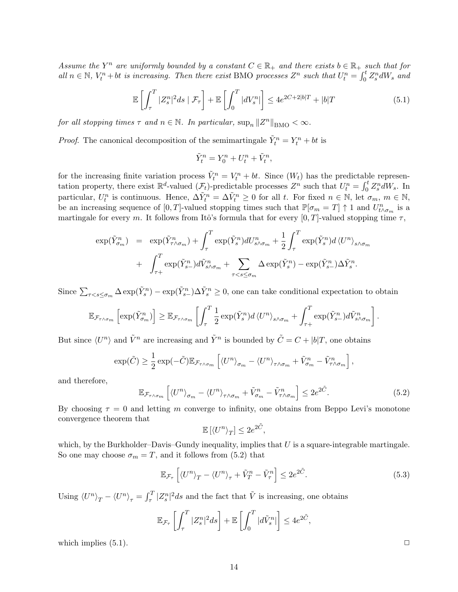Assume the  $Y^n$  are uniformly bounded by a constant  $C \in \mathbb{R}_+$  and there exists  $b \in \mathbb{R}_+$  such that for all  $n \in \mathbb{N}$ ,  $V_t^n + bt$  is increasing. Then there exist BMO processes  $Z^n$  such that  $U_t^n = \int_0^t Z_s^n dW_s$  and

$$
\mathbb{E}\left[\int_{\tau}^{T} |Z_{s}^{n}|^{2} ds \mid \mathcal{F}_{\tau}\right] + \mathbb{E}\left[\int_{0}^{T} |dV_{s}^{n}| \right] \leq 4e^{2C + 2|b|T} + |b|T \tag{5.1}
$$

for all stopping times  $\tau$  and  $n \in \mathbb{N}$ . In particular,  $\sup_n ||Z^n||_{\text{BMO}} < \infty$ .

*Proof.* The canonical decomposition of the semimartingale  $\tilde{Y}_t^n = Y_t^n + bt$  is

$$
\tilde{Y}_t^n = Y_0^n + U_t^n + \tilde{V}_t^n,
$$

for the increasing finite variation process  $\tilde{V}_t^n = V_t^n + bt$ . Since  $(W_t)$  has the predictable representation property, there exist  $\mathbb{R}^d$ -valued  $(\mathcal{F}_t)$ -predictable processes  $Z^n$  such that  $U_t^n = \int_0^t Z_s^n dW_s$ . In particular,  $U_t^n$  is continuous. Hence,  $\Delta \tilde{Y}_t^n = \Delta \tilde{V}_t^n \ge 0$  for all t. For fixed  $n \in \mathbb{N}$ , let  $\sigma_m$ ,  $m \in \mathbb{N}$ , be an increasing sequence of [0, T]-valued stopping times such that  $\mathbb{P}[\sigma_m = T] \uparrow 1$  and  $U^n_{t \wedge \sigma_m}$  is a martingale for every m. It follows from Itô's formula that for every  $[0, T]$ -valued stopping time  $\tau$ ,

$$
\exp(\tilde{Y}_{\sigma_m}^n) = \exp(\tilde{Y}_{\tau \wedge \sigma_m}^n) + \int_{\tau}^T \exp(\tilde{Y}_{s}^n) dU_{s \wedge \sigma_m}^n + \frac{1}{2} \int_{\tau}^T \exp(\tilde{Y}_{s}^n) d\langle U^n \rangle_{s \wedge \sigma_m} + \int_{\tau+}^T \exp(\tilde{Y}_{s-}^n) d\tilde{V}_{s \wedge \sigma_m}^n + \sum_{\tau < s \le \sigma_m} \Delta \exp(\tilde{Y}_{s-}^n) - \exp(\tilde{Y}_{s-}^n) \Delta \tilde{Y}_{s}^n.
$$

Since  $\sum_{\tau < s \leq \sigma_m} \Delta \exp(\tilde{Y}_s^n) - \exp(\tilde{Y}_{s-}^n) \Delta \tilde{Y}_s^n \geq 0$ , one can take conditional expectation to obtain

$$
\mathbb{E}_{\mathcal{F}_{\tau \wedge \sigma_m}} \left[ \exp(\tilde{Y}_{\sigma_m}^n) \right] \geq \mathbb{E}_{\mathcal{F}_{\tau \wedge \sigma_m}} \left[ \int_{\tau}^T \frac{1}{2} \exp(\tilde{Y}_s^n) d \langle U^n \rangle_{s \wedge \sigma_m} + \int_{\tau+}^T \exp(\tilde{Y}_{s-}^n) d \tilde{V}_{s \wedge \sigma_m}^n \right].
$$

But since  $\langle U^n \rangle$  and  $\tilde{V}^n$  are increasing and  $\tilde{Y}^n$  is bounded by  $\tilde{C} = C + |b|T$ , one obtains

$$
\exp(\tilde{C}) \ge \frac{1}{2} \exp(-\tilde{C}) \mathbb{E}_{\mathcal{F}_{\tau \wedge \sigma_m}} \left[ \langle U^n \rangle_{\sigma_m} - \langle U^n \rangle_{\tau \wedge \sigma_m} + \tilde{V}_{\sigma_m}^n - \tilde{V}_{\tau \wedge \sigma_m}^n \right],
$$

and therefore,

$$
\mathbb{E}_{\mathcal{F}_{\tau \wedge \sigma_m}} \left[ \langle U^n \rangle_{\sigma_m} - \langle U^n \rangle_{\tau \wedge \sigma_m} + \tilde{V}_{\sigma_m}^n - \tilde{V}_{\tau \wedge \sigma_m}^n \right] \leq 2e^{2\tilde{C}}.
$$
 (5.2)

,

By choosing  $\tau = 0$  and letting m converge to infinity, one obtains from Beppo Levi's monotone convergence theorem that

$$
\mathbb{E}\left[\langle U^n \rangle_T\right] \leq 2e^{2\tilde{C}}
$$

which, by the Burkholder–Davis–Gundy inequality, implies that  $U$  is a square-integrable martingale. So one may choose  $\sigma_m = T$ , and it follows from (5.2) that

$$
\mathbb{E}_{\mathcal{F}_{\tau}}\left[\langle U^n \rangle_T - \langle U^n \rangle_{\tau} + \tilde{V}_T^n - \tilde{V}_\tau^n \right] \le 2e^{2\tilde{C}}.\tag{5.3}
$$

Using  $\langle U^n \rangle_T - \langle U^n \rangle_\tau = \int_\tau^T |Z_s^n|^2 ds$  and the fact that  $\tilde{V}$  is increasing, one obtains

$$
\mathbb{E}_{\mathcal{F}_{\tau}}\left[\int_{\tau}^{T} |Z_s^n|^2 ds\right] + \mathbb{E}\left[\int_0^T |d\tilde{V}_s^n|\right] \leq 4e^{2\tilde{C}},
$$

which implies  $(5.1)$ .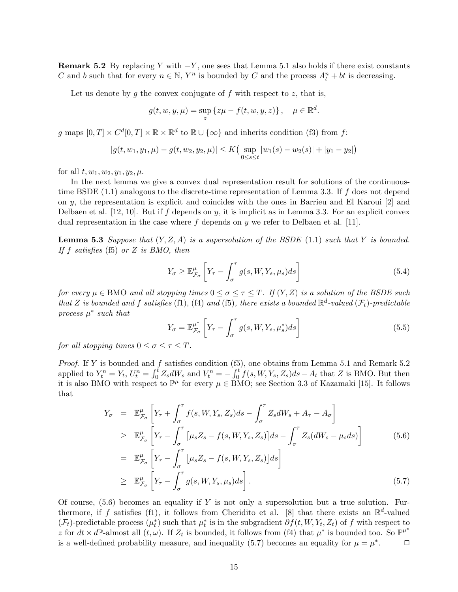**Remark 5.2** By replacing Y with  $-Y$ , one sees that Lemma 5.1 also holds if there exist constants C and b such that for every  $n \in \mathbb{N}$ , Y<sup>n</sup> is bounded by C and the process  $A_t^n + bt$  is decreasing.

Let us denote by g the convex conjugate of  $f$  with respect to  $z$ , that is,

$$
g(t, w, y, \mu) = \sup_{z} \{z\mu - f(t, w, y, z)\}, \quad \mu \in \mathbb{R}^d.
$$

g maps  $[0, T] \times C^d[0, T] \times \mathbb{R} \times \mathbb{R}^d$  to  $\mathbb{R} \cup {\infty}$  and inherits condition (f3) from f:

$$
|g(t, w_1, y_1, \mu) - g(t, w_2, y_2, \mu)| \le K \Big( \sup_{0 \le s \le t} |w_1(s) - w_2(s)| + |y_1 - y_2| \Big)
$$

for all  $t, w_1, w_2, y_1, y_2, \mu$ .

In the next lemma we give a convex dual representation result for solutions of the continuoustime BSDE  $(1.1)$  analogous to the discrete-time representation of Lemma 3.3. If f does not depend on y, the representation is explicit and coincides with the ones in Barrieu and El Karoui [2] and Delbaen et al. [12, 10]. But if f depends on y, it is implicit as in Lemma 3.3. For an explicit convex dual representation in the case where  $f$  depends on  $y$  we refer to Delbaen et al. [11].

**Lemma 5.3** Suppose that  $(Y, Z, A)$  is a supersolution of the BSDE (1.1) such that Y is bounded. If f satisfies (f5) or Z is BMO, then

$$
Y_{\sigma} \ge \mathbb{E}_{\mathcal{F}_{\sigma}}^{\mu} \left[ Y_{\tau} - \int_{\sigma}^{\tau} g(s, W, Y_s, \mu_s) ds \right]
$$
 (5.4)

for every  $\mu \in BMO$  and all stopping times  $0 \leq \sigma \leq \tau \leq T$ . If  $(Y, Z)$  is a solution of the BSDE such that Z is bounded and f satisfies (f1), (f4) and (f5), there exists a bounded  $\mathbb{R}^d$ -valued  $(\mathcal{F}_t)$ -predictable process  $\mu^*$  such that

$$
Y_{\sigma} = \mathbb{E}_{\mathcal{F}_{\sigma}}^{\mu^*} \left[ Y_{\tau} - \int_{\sigma}^{\tau} g(s, W, Y_s, \mu_s^*) ds \right]
$$
(5.5)

for all stopping times  $0 \leq \sigma \leq \tau \leq T$ .

*Proof.* If Y is bounded and f satisfies condition (f5), one obtains from Lemma 5.1 and Remark 5.2 applied to  $Y_t^n = Y_t$ ,  $U_t^n = \int_0^t Z_s dW_s$  and  $V_t^n = -\int_0^t f(s, W, Y_s, Z_s) ds - A_t$  that Z is BMO. But then it is also BMO with respect to  $\mathbb{P}^{\mu}$  for every  $\mu \in \text{BMO}$ ; see Section 3.3 of Kazamaki [15]. It follows that

$$
Y_{\sigma} = \mathbb{E}_{\mathcal{F}_{\sigma}}^{\mu} \left[ Y_{\tau} + \int_{\sigma}^{\tau} f(s, W, Y_s, Z_s) ds - \int_{\sigma}^{\tau} Z_s dW_s + A_{\tau} - A_{\sigma} \right]
$$
  
\n
$$
\geq \mathbb{E}_{\mathcal{F}_{\sigma}}^{\mu} \left[ Y_{\tau} - \int_{\sigma}^{\tau} \left[ \mu_s Z_s - f(s, W, Y_s, Z_s) \right] ds - \int_{\sigma}^{\tau} Z_s (dW_s - \mu_s ds) \right]
$$
  
\n
$$
= \mathbb{E}_{\mathcal{F}_{\sigma}}^{\mu} \left[ Y_{\tau} - \int_{\sigma}^{\tau} \left[ \mu_s Z_s - f(s, W, Y_s, Z_s) \right] ds \right]
$$
  
\n
$$
\geq \mathbb{E}_{\mathcal{F}_{\sigma}}^{\mu} \left[ Y_{\tau} - \int_{\sigma}^{\tau} g(s, W, Y_s, \mu_s) ds \right].
$$
 (5.7)

Of course,  $(5.6)$  becomes an equality if Y is not only a supersolution but a true solution. Furthermore, if f satisfies (f1), it follows from Cheridito et al. [8] that there exists an  $\mathbb{R}^d$ -valued  $(\mathcal{F}_t)$ -predictable process  $(\mu_t^*)$  such that  $\mu_t^*$  is in the subgradient  $\partial f(t, W, Y_t, Z_t)$  of f with respect to z for  $dt \times d\mathbb{P}$ -almost all  $(t, \omega)$ . If  $Z_t$  is bounded, it follows from (f4) that  $\mu^*$  is bounded too. So  $\mathbb{P}^{\mu^*}$ is a well-defined probability measure, and inequality (5.7) becomes an equality for  $\mu = \mu^*$  $\Box$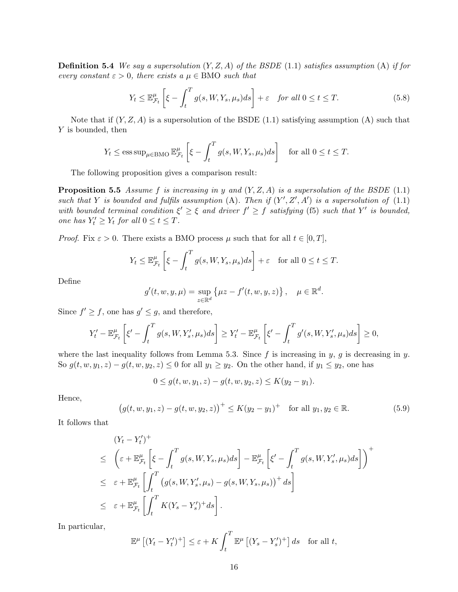**Definition 5.4** We say a supersolution  $(Y, Z, A)$  of the BSDE (1.1) satisfies assumption (A) if for every constant  $\varepsilon > 0$ , there exists a  $\mu \in BMO$  such that

$$
Y_t \le \mathbb{E}_{\mathcal{F}_t}^{\mu} \left[ \xi - \int_t^T g(s, W, Y_s, \mu_s) ds \right] + \varepsilon \quad \text{for all } 0 \le t \le T. \tag{5.8}
$$

Note that if  $(Y, Z, A)$  is a supersolution of the BSDE (1.1) satisfying assumption (A) such that Y is bounded, then

$$
Y_t \le \operatorname{ess\,sup}_{\mu \in \text{BMO}} \mathbb{E}_{\mathcal{F}_t}^{\mu} \left[ \xi - \int_t^T g(s, W, Y_s, \mu_s) ds \right]
$$
 for all  $0 \le t \le T$ .

The following proposition gives a comparison result:

**Proposition 5.5** Assume f is increasing in y and  $(Y, Z, A)$  is a supersolution of the BSDE (1.1) such that Y is bounded and fulfils assumption (A). Then if  $(Y', Z', A')$  is a supersolution of (1.1) with bounded terminal condition  $\xi' \geq \xi$  and driver  $f' \geq f$  satisfying (f5) such that Y' is bounded, one has  $Y'_t \geq Y_t$  for all  $0 \leq t \leq T$ .

*Proof.* Fix  $\varepsilon > 0$ . There exists a BMO process  $\mu$  such that for all  $t \in [0, T]$ ,

$$
Y_t \le \mathbb{E}_{\mathcal{F}_t}^{\mu} \left[ \xi - \int_t^T g(s, W, Y_s, \mu_s) ds \right] + \varepsilon \quad \text{for all } 0 \le t \le T.
$$

Define

$$
g'(t, w, y, \mu) = \sup_{z \in \mathbb{R}^d} \{ \mu z - f'(t, w, y, z) \}, \quad \mu \in \mathbb{R}^d.
$$

Since  $f' \geq f$ , one has  $g' \leq g$ , and therefore,

$$
Y'_t - \mathbb{E}_{\mathcal{F}_t}^{\mu} \left[ \xi' - \int_t^T g(s, W, Y'_s, \mu_s) ds \right] \ge Y'_t - \mathbb{E}_{\mathcal{F}_t}^{\mu} \left[ \xi' - \int_t^T g'(s, W, Y'_s, \mu_s) ds \right] \ge 0,
$$

where the last inequality follows from Lemma 5.3. Since f is increasing in y, g is decreasing in y. So  $g(t, w, y_1, z) - g(t, w, y_2, z) \leq 0$  for all  $y_1 \geq y_2$ . On the other hand, if  $y_1 \leq y_2$ , one has

$$
0 \le g(t, w, y_1, z) - g(t, w, y_2, z) \le K(y_2 - y_1).
$$

Hence,

$$
(g(t, w, y_1, z) - g(t, w, y_2, z))^+ \le K(y_2 - y_1)^+ \text{ for all } y_1, y_2 \in \mathbb{R}.
$$
 (5.9)

It follows that

$$
(Y_t - Y'_t)^+ \leq \left(\varepsilon + \mathbb{E}_{\mathcal{F}_t}^{\mu} \left[\xi - \int_t^T g(s, W, Y_s, \mu_s) ds\right] - \mathbb{E}_{\mathcal{F}_t}^{\mu} \left[\xi' - \int_t^T g(s, W, Y'_s, \mu_s) ds\right]\right)^+
$$
  

$$
\leq \varepsilon + \mathbb{E}_{\mathcal{F}_t}^{\mu} \left[\int_t^T \left(g(s, W, Y'_s, \mu_s) - g(s, W, Y_s, \mu_s)\right)^+ ds\right]
$$
  

$$
\leq \varepsilon + \mathbb{E}_{\mathcal{F}_t}^{\mu} \left[\int_t^T K(Y_s - Y'_s)^+ ds\right].
$$

In particular,

$$
\mathbb{E}^{\mu}\left[ (Y_t - Y'_t)^+ \right] \leq \varepsilon + K \int_t^T \mathbb{E}^{\mu}\left[ (Y_s - Y'_s)^+ \right] ds \quad \text{for all } t,
$$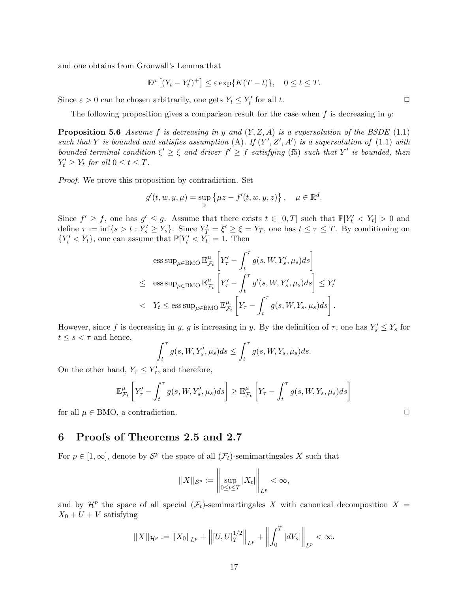and one obtains from Gronwall's Lemma that

$$
\mathbb{E}^{\mu}\left[\left(Y_t - Y'_t\right)^+\right] \leq \varepsilon \exp\{K(T - t)\}, \quad 0 \leq t \leq T.
$$

Since  $\varepsilon > 0$  can be chosen arbitrarily, one gets  $Y_t \leq Y'_t$  for all t.

The following proposition gives a comparison result for the case when  $f$  is decreasing in  $y$ :

**Proposition 5.6** Assume f is decreasing in y and  $(Y, Z, A)$  is a supersolution of the BSDE (1.1) such that Y is bounded and satisfies assumption (A). If  $(Y', Z', A')$  is a supersolution of (1.1) with bounded terminal condition  $\xi' \geq \xi$  and driver  $f' \geq f$  satisfying (f5) such that Y' is bounded, then  $Y'_t \geq Y_t$  for all  $0 \leq t \leq T$ .

Proof. We prove this proposition by contradiction. Set

$$
g'(t, w, y, \mu) = \sup_{z} \{ \mu z - f'(t, w, y, z) \}, \quad \mu \in \mathbb{R}^d.
$$

Since  $f' \geq f$ , one has  $g' \leq g$ . Assume that there exists  $t \in [0, T]$  such that  $\mathbb{P}[Y_t' < Y_t] > 0$  and define  $\tau := \inf\{s > t : Y_s' \geq Y_s\}$ . Since  $Y_T' = \xi' \geq \xi = Y_T$ , one has  $t \leq \tau \leq T$ . By conditioning on  ${Y'_t < Y_t}$ , one can assume that  $\mathbb{P}[Y'_t < Y_t] = 1$ . Then

$$
\begin{aligned}\n&\text{ess sup}_{\mu \in \text{BMO}} \mathbb{E}_{\mathcal{F}_t}^{\mu} \left[ Y_{\tau}^{\prime} - \int_t^{\tau} g(s, W, Y_s^{\prime}, \mu_s) ds \right] \\
&\leq \text{ess sup}_{\mu \in \text{BMO}} \mathbb{E}_{\mathcal{F}_t}^{\mu} \left[ Y_{\tau}^{\prime} - \int_t^{\tau} g^{\prime}(s, W, Y_s^{\prime}, \mu_s) ds \right] \leq Y_t^{\prime} \\
&< Y_t \leq \text{ess sup}_{\mu \in \text{BMO}} \mathbb{E}_{\mathcal{F}_t}^{\mu} \left[ Y_{\tau} - \int_t^{\tau} g(s, W, Y_s, \mu_s) ds \right].\n\end{aligned}
$$

However, since f is decreasing in y, g is increasing in y. By the definition of  $\tau$ , one has  $Y_s' \leq Y_s$  for  $t \leq s < \tau$  and hence,

$$
\int_t^\tau g(s, W, Y'_s, \mu_s) ds \le \int_t^\tau g(s, W, Y_s, \mu_s) ds.
$$

On the other hand,  $Y_{\tau} \leq Y'_{\tau}$ , and therefore,

$$
\mathbb{E}_{\mathcal{F}_t}^{\mu} \left[ Y_{\tau}^{\prime} - \int_t^{\tau} g(s, W, Y_s^{\prime}, \mu_s) ds \right] \geq \mathbb{E}_{\mathcal{F}_t}^{\mu} \left[ Y_{\tau} - \int_t^{\tau} g(s, W, Y_s, \mu_s) ds \right]
$$

for all  $\mu \in BMO$ , a contradiction.  $\square$ 

## 6 Proofs of Theorems 2.5 and 2.7

For  $p \in [1,\infty]$ , denote by  $S^p$  the space of all  $(\mathcal{F}_t)$ -semimartingales X such that

$$
||X||_{\mathcal{S}^p} := \left\|\sup_{0 \leq t \leq T} |X_t|\right\|_{L^p} < \infty,
$$

and by  $\mathcal{H}^p$  the space of all special  $(\mathcal{F}_t)$ -semimartingales X with canonical decomposition  $X =$  $X_0 + U + V$  satisfying

$$
||X||_{\mathcal{H}^p} := ||X_0||_{L^p} + \left\||[U, U]_T^{1/2}\right\|_{L^p} + \left\|\int_0^T |dV_s|\right\|_{L^p} < \infty.
$$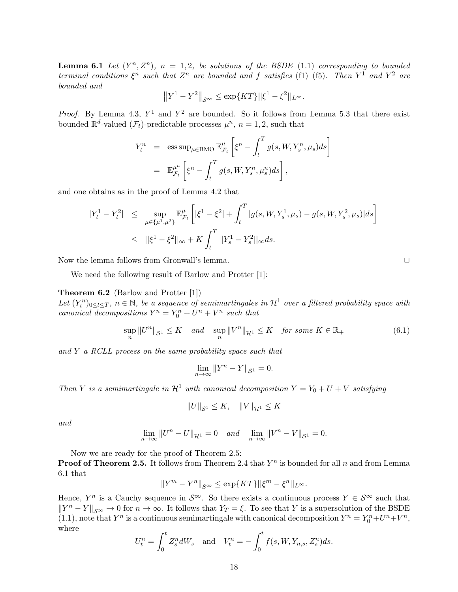**Lemma 6.1** Let  $(Y^n, Z^n)$ ,  $n = 1, 2$ , be solutions of the BSDE (1.1) corresponding to bounded terminal conditions  $\xi^n$  such that  $Z^n$  are bounded and f satisfies (f1)–(f5). Then  $Y^1$  and  $Y^2$  are bounded and

$$
||Y^1 - Y^2||_{S^{\infty}} \le \exp\{KT\}||\xi^1 - \xi^2||_{L^{\infty}}.
$$

*Proof.* By Lemma 4.3,  $Y^1$  and  $Y^2$  are bounded. So it follows from Lemma 5.3 that there exist bounded  $\mathbb{R}^d$ -valued  $(\mathcal{F}_t)$ -predictable processes  $\mu^n$ ,  $n = 1, 2$ , such that

$$
Y_t^n = \operatorname{ess\,sup}_{\mu \in \text{BMO}} \mathbb{E}_{\mathcal{F}_t}^{\mu} \left[ \xi^n - \int_t^T g(s, W, Y_s^n, \mu_s) ds \right]
$$
  
=  $\mathbb{E}_{\mathcal{F}_t}^{\mu^n} \left[ \xi^n - \int_t^T g(s, W, Y_s^n, \mu_s^n) ds \right],$ 

and one obtains as in the proof of Lemma 4.2 that

$$
\begin{aligned} |Y_t^1 - Y_t^2| &\leq \sup_{\mu \in \{\mu^1, \mu^2\}} \mathbb{E}_{\mathcal{F}_t}^{\mu} \left[ |\xi^1 - \xi^2| + \int_t^T |g(s, W, Y_s^1, \mu_s) - g(s, W, Y_s^2, \mu_s) | ds \right] \\ &\leq \quad ||\xi^1 - \xi^2||_{\infty} + K \int_t^T ||Y_s^1 - Y_s^2||_{\infty} ds. \end{aligned}
$$

Now the lemma follows from Gronwall's lemma.  $\square$ 

We need the following result of Barlow and Protter [1]:

Theorem 6.2 (Barlow and Protter [1])

Let  $(Y_t^n)_{0 \leq t \leq T}$ ,  $n \in \mathbb{N}$ , be a sequence of semimartingales in  $\mathcal{H}^1$  over a filtered probability space with canonical decompositions  $Y^n = Y_0^n + U^n + V^n$  such that

$$
\sup_{n} \|U^{n}\|_{\mathcal{S}^1} \leq K \quad and \quad \sup_{n} \|V^{n}\|_{\mathcal{H}^1} \leq K \quad for \ some \ K \in \mathbb{R}_+ \tag{6.1}
$$

and Y a RCLL process on the same probability space such that

$$
\lim_{n \to \infty} \|Y^n - Y\|_{\mathcal{S}^1} = 0.
$$

Then Y is a semimartingale in  $\mathcal{H}^1$  with canonical decomposition  $Y = Y_0 + U + V$  satisfying

$$
||U||_{\mathcal{S}^1} \leq K, \quad ||V||_{\mathcal{H}^1} \leq K
$$

and

$$
\lim_{n \to \infty} ||U^n - U||_{\mathcal{H}^1} = 0 \quad and \quad \lim_{n \to \infty} ||V^n - V||_{\mathcal{S}^1} = 0.
$$

Now we are ready for the proof of Theorem 2.5:

**Proof of Theorem 2.5.** It follows from Theorem 2.4 that  $Y^n$  is bounded for all n and from Lemma 6.1 that

$$
||Y^m-Y^n||_{S^{\infty}}\leq \exp\{KT\}||\xi^m-\xi^n||_{L^{\infty}}.
$$

Hence,  $Y^n$  is a Cauchy sequence in  $\mathcal{S}^{\infty}$ . So there exists a continuous process  $Y \in \mathcal{S}^{\infty}$  such that  $||Y^n - Y||_{S^{\infty}} \to 0$  for  $n \to \infty$ . It follows that  $Y_T = \xi$ . To see that Y is a supersolution of the BSDE (1.1), note that  $Y^n$  is a continuous semimartingale with canonical decomposition  $Y^n = Y_0^n + U^n + V^n$ , where

$$
U_t^n = \int_0^t Z_s^n dW_s \text{ and } V_t^n = -\int_0^t f(s, W, Y_{n,s}, Z_s^n) ds.
$$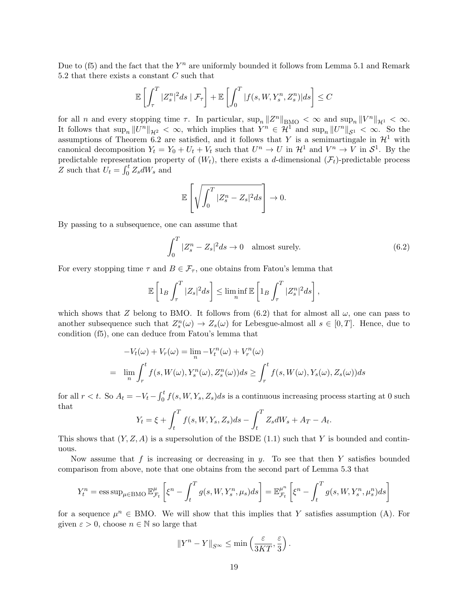Due to (f5) and the fact that the  $Y^n$  are uniformly bounded it follows from Lemma 5.1 and Remark 5.2 that there exists a constant  $C$  such that

$$
\mathbb{E}\left[\int_{\tau}^{T} |Z_{s}^{n}|^{2} ds \mid \mathcal{F}_{\tau}\right] + \mathbb{E}\left[\int_{0}^{T} |f(s, W, Y_{s}^{n}, Z_{s}^{n})| ds\right] \leq C
$$

for all n and every stopping time  $\tau$ . In particular,  $\sup_n ||Z^n||_{\text{BMO}} < \infty$  and  $\sup_n ||V^n||_{\mathcal{H}^1} < \infty$ . It follows that  $\sup_n ||U^n||_{\mathcal{H}^2} < \infty$ , which implies that  $Y^n \in \mathcal{H}^1$  and  $\sup_n ||U^n||_{\mathcal{S}^1} < \infty$ . So the assumptions of Theorem 6.2 are satisfied, and it follows that Y is a semimartingale in  $\mathcal{H}^1$  with canonical decomposition  $Y_t = Y_0 + U_t + V_t$  such that  $U^n \to U$  in  $\mathcal{H}^1$  and  $V^n \to V$  in  $\mathcal{S}^1$ . By the predictable representation property of  $(W_t)$ , there exists a d-dimensional  $(\mathcal{F}_t)$ -predictable process Z such that  $U_t = \int_0^t Z_s dW_s$  and

$$
\mathbb{E}\left[\sqrt{\int_0^T |Z_s^n - Z_s|^2 ds}\right] \to 0.
$$

By passing to a subsequence, one can assume that

$$
\int_0^T |Z_s^n - Z_s|^2 ds \to 0 \quad \text{almost surely.} \tag{6.2}
$$

For every stopping time  $\tau$  and  $B \in \mathcal{F}_{\tau}$ , one obtains from Fatou's lemma that

$$
\mathbb{E}\left[\mathbb{1}_B\int_{\tau}^T |Z_s|^2 ds\right] \leq \liminf_n \mathbb{E}\left[\mathbb{1}_B\int_{\tau}^T |Z_s^n|^2 ds\right],
$$

which shows that Z belong to BMO. It follows from  $(6.2)$  that for almost all  $\omega$ , one can pass to another subsequence such that  $Z_s^n(\omega) \to Z_s(\omega)$  for Lebesgue-almost all  $s \in [0, T]$ . Hence, due to condition (f5), one can deduce from Fatou's lemma that

$$
-V_t(\omega) + V_r(\omega) = \lim_n -V_t^n(\omega) + V_r^n(\omega)
$$
  
= 
$$
\lim_n \int_r^t f(s, W(\omega), Y_s^n(\omega), Z_s^n(\omega)) ds \ge \int_r^t f(s, W(\omega), Y_s(\omega), Z_s(\omega)) ds
$$

for all  $r < t$ . So  $A_t = -V_t - \int_0^t f(s, W, Y_s, Z_s) ds$  is a continuous increasing process starting at 0 such that

$$
Y_t = \xi + \int_t^T f(s, W, Y_s, Z_s) ds - \int_t^T Z_s dW_s + A_T - A_t.
$$

This shows that  $(Y, Z, A)$  is a supersolution of the BSDE (1.1) such that Y is bounded and continuous.

Now assume that f is increasing or decreasing in  $y$ . To see that then Y satisfies bounded comparison from above, note that one obtains from the second part of Lemma 5.3 that

$$
Y_t^n = \operatorname{ess\,sup}_{\mu \in \text{BMO}} \mathbb{E}_{\mathcal{F}_t}^{\mu} \left[ \xi^n - \int_t^T g(s, W, Y_s^n, \mu_s) ds \right] = \mathbb{E}_{\mathcal{F}_t}^{\mu^n} \left[ \xi^n - \int_t^T g(s, W, Y_s^n, \mu_s^n) ds \right]
$$

for a sequence  $\mu^n \in BMO$ . We will show that this implies that Y satisfies assumption (A). For given  $\varepsilon > 0$ , choose  $n \in \mathbb{N}$  so large that

$$
||Y^n - Y||_{S^{\infty}} \le \min\left(\frac{\varepsilon}{3KT}, \frac{\varepsilon}{3}\right).
$$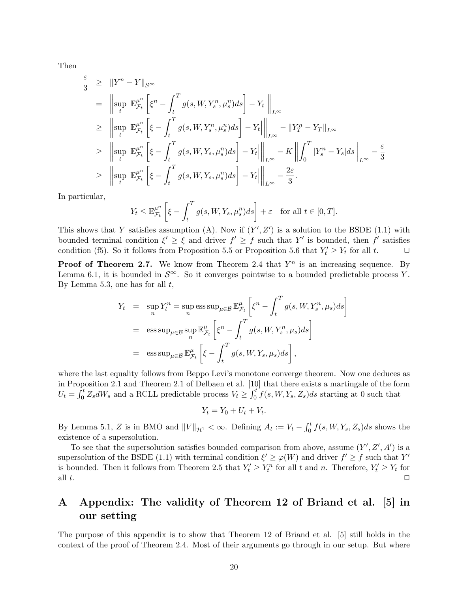Then

$$
\frac{\varepsilon}{3} \geq \|Y^n - Y\|_{S^\infty}
$$
\n
$$
= \left\| \sup_t \left| \mathbb{E}_{\mathcal{F}_t}^{\mu^n} \left[ \xi^n - \int_t^T g(s, W, Y_s^n, \mu_s^n) ds \right] - Y_t \right| \right\|_{L^\infty}
$$
\n
$$
\geq \left\| \sup_t \left| \mathbb{E}_{\mathcal{F}_t}^{\mu^n} \left[ \xi - \int_t^T g(s, W, Y_s^n, \mu_s^n) ds \right] - Y_t \right| \right\|_{L^\infty} - \|Y_T^n - Y_T\|_{L^\infty}
$$
\n
$$
\geq \left\| \sup_t \left| \mathbb{E}_{\mathcal{F}_t}^{\mu^n} \left[ \xi - \int_t^T g(s, W, Y_s, \mu_s^n) ds \right] - Y_t \right| \right\|_{L^\infty} - K \left\| \int_0^T |Y_s^n - Y_s| ds \right\|_{L^\infty} - \frac{\varepsilon}{3}
$$
\n
$$
\geq \left\| \sup_t \left| \mathbb{E}_{\mathcal{F}_t}^{\mu^n} \left[ \xi - \int_t^T g(s, W, Y_s, \mu_s^n) ds \right] - Y_t \right| \right\|_{L^\infty} - \frac{2\varepsilon}{3}.
$$

In particular,

$$
Y_t \le \mathbb{E}_{\mathcal{F}_t}^{\mu^n} \left[ \xi - \int_t^T g(s, W, Y_s, \mu_s^n) ds \right] + \varepsilon \quad \text{for all } t \in [0, T].
$$

This shows that Y satisfies assumption (A). Now if  $(Y', Z')$  is a solution to the BSDE (1.1) with bounded terminal condition  $\xi' \geq \xi$  and driver  $f' \geq f$  such that Y' is bounded, then f' satisfies condition (f5). So it follows from Proposition 5.5 or Proposition 5.6 that  $Y'_t \geq Y_t$  for all  $t$ .

**Proof of Theorem 2.7.** We know from Theorem 2.4 that  $Y^n$  is an increasing sequence. By Lemma 6.1, it is bounded in  $\mathcal{S}^{\infty}$ . So it converges pointwise to a bounded predictable process Y. By Lemma 5.3, one has for all  $t$ ,

$$
Y_t = \sup_n Y_t^n = \sup_n \text{ess sup}_{\mu \in \mathcal{B}} \mathbb{E}_{\mathcal{F}_t}^{\mu} \left[ \xi^n - \int_t^T g(s, W, Y_s^n, \mu_s) ds \right]
$$
  
=  $\text{ess sup}_{\mu \in \mathcal{B}} \sup_n \mathbb{E}_{\mathcal{F}_t}^{\mu} \left[ \xi^n - \int_t^T g(s, W, Y_s^n, \mu_s) ds \right]$   
=  $\text{ess sup}_{\mu \in \mathcal{B}} \mathbb{E}_{\mathcal{F}_t}^{\mu} \left[ \xi - \int_t^T g(s, W, Y_s, \mu_s) ds \right],$ 

where the last equality follows from Beppo Levi's monotone converge theorem. Now one deduces as in Proposition 2.1 and Theorem 2.1 of Delbaen et al. [10] that there exists a martingale of the form  $U_t = \int_0^t Z_s dW_s$  and a RCLL predictable process  $V_t \ge \int_0^t f(s, W, Y_s, Z_s) ds$  starting at 0 such that

$$
Y_t = Y_0 + U_t + V_t.
$$

By Lemma 5.1, Z is in BMO and  $||V||_{\mathcal{H}^1} < \infty$ . Defining  $A_t := V_t - \int_0^t f(s, W, Y_s, Z_s) ds$  shows the existence of a supersolution.

To see that the supersolution satisfies bounded comparison from above, assume  $(Y', Z', A')$  is a supersolution of the BSDE (1.1) with terminal condition  $\xi' \geq \varphi(W)$  and driver  $f' \geq f$  such that Y' is bounded. Then it follows from Theorem 2.5 that  $Y_t' \geq Y_t^n$  for all t and n. Therefore,  $Y_t' \geq Y_t$  for all  $t$ .

## A Appendix: The validity of Theorem 12 of Briand et al. [5] in our setting

The purpose of this appendix is to show that Theorem 12 of Briand et al. [5] still holds in the context of the proof of Theorem 2.4. Most of their arguments go through in our setup. But where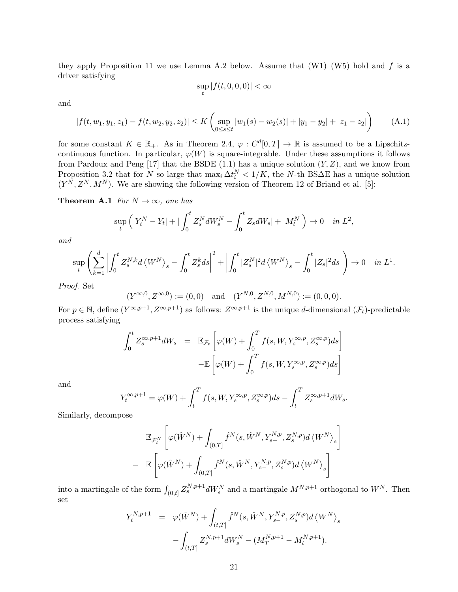they apply Proposition 11 we use Lemma A.2 below. Assume that  $(W1)-(W5)$  hold and f is a driver satisfying

$$
\sup_{t} |f(t,0,0,0)| < \infty
$$

and

$$
|f(t, w_1, y_1, z_1) - f(t, w_2, y_2, z_2)| \le K \left( \sup_{0 \le s \le t} |w_1(s) - w_2(s)| + |y_1 - y_2| + |z_1 - z_2| \right) \tag{A.1}
$$

for some constant  $K \in \mathbb{R}_+$ . As in Theorem 2.4,  $\varphi: C^d[0,T] \to \mathbb{R}$  is assumed to be a Lipschitzcontinuous function. In particular,  $\varphi(W)$  is square-integrable. Under these assumptions it follows from Pardoux and Peng [17] that the BSDE (1.1) has a unique solution  $(Y, Z)$ , and we know from Proposition 3.2 that for N so large that  $\max_i \Delta t_i^N < 1/K$ , the N-th BS $\Delta$ E has a unique solution  $(Y^N, Z^N, M^N)$ . We are showing the following version of Theorem 12 of Briand et al. [5]:

**Theorem A.1** For  $N \to \infty$ , one has

$$
\sup_{t} \left( |Y_{t}^{N} - Y_{t}| + |\int_{0}^{t} Z_{s}^{N} dW_{s}^{N} - \int_{0}^{t} Z_{s} dW_{s}| + |M_{t}^{N}| \right) \to 0 \quad in \ L^{2},
$$

and

$$
\sup_t \left( \sum_{k=1}^d \left| \int_0^t Z_s^{N,k} d\left< W^N \right>_s - \int_0^t Z_s^k ds \right|^2 + \left| \int_0^t |Z_s^N|^2 d\left< W^N \right>_s - \int_0^t |Z_s|^2 ds \right| \right) \to 0 \quad \text{ in } L^1.
$$

Proof. Set

$$
(Y^{\infty,0}, Z^{\infty,0}) := (0,0)
$$
 and  $(Y^{N,0}, Z^{N,0}, M^{N,0}) := (0,0,0).$ 

For  $p \in \mathbb{N}$ , define  $(Y^{\infty,p+1}, Z^{\infty,p+1})$  as follows:  $Z^{\infty,p+1}$  is the unique d-dimensional  $(\mathcal{F}_t)$ -predictable process satisfying

$$
\int_0^t Z_s^{\infty, p+1} dW_s = \mathbb{E}_{\mathcal{F}_t} \left[ \varphi(W) + \int_0^T f(s, W, Y_s^{\infty, p}, Z_s^{\infty, p}) ds \right]
$$

$$
-\mathbb{E} \left[ \varphi(W) + \int_0^T f(s, W, Y_s^{\infty, p}, Z_s^{\infty, p}) ds \right]
$$

and

$$
Y_t^{\infty,p+1} = \varphi(W) + \int_t^T f(s, W, Y_s^{\infty,p}, Z_s^{\infty,p}) ds - \int_t^T Z_s^{\infty,p+1} dW_s.
$$

Similarly, decompose

$$
\mathbb{E}_{\mathcal{F}_t^N} \left[ \varphi(\hat{W}^N) + \int_{(0,T]} \hat{f}^N(s, \hat{W}^N, Y_{s-}^{N,p}, Z_s^{N,p}) d\left\langle W^N \right\rangle_s \right]
$$
  
- 
$$
\mathbb{E} \left[ \varphi(\hat{W}^N) + \int_{(0,T]} \hat{f}^N(s, \hat{W}^N, Y_{s-}^{N,p}, Z_s^{N,p}) d\left\langle W^N \right\rangle_s \right]
$$

into a martingale of the form  $\int_{(0,t]} Z_s^{N,p+1} dW_s^N$  and a martingale  $M^{N,p+1}$  orthogonal to  $W^N$ . Then set

$$
Y_t^{N,p+1} = \varphi(\hat{W}^N) + \int_{(t,T]} \hat{f}^N(s, \hat{W}^N, Y_{s-}^{N,p}, Z_s^{N,p}) d \langle W^N \rangle_s - \int_{(t,T]} Z_s^{N,p+1} dW_s^N - (M_T^{N,p+1} - M_t^{N,p+1}).
$$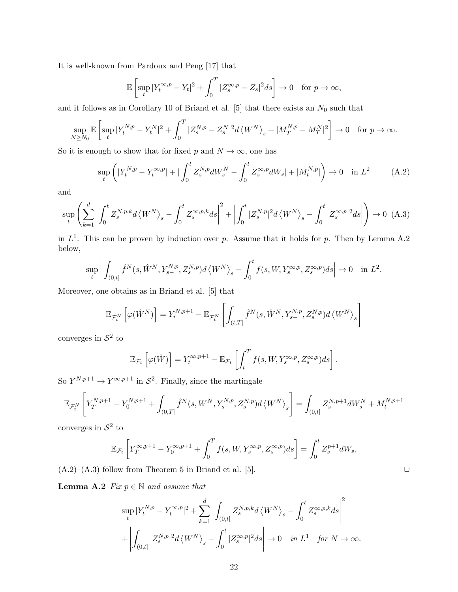It is well-known from Pardoux and Peng [17] that

$$
\mathbb{E}\left[\sup_t|Y_t^{\infty,p}-Y_t|^2+\int_0^T|Z_s^{\infty,p}-Z_s|^2ds\right]\to 0 \quad \text{for } p\to\infty,
$$

and it follows as in Corollary 10 of Briand et al. [5] that there exists an  $N_0$  such that

$$
\sup_{N\geq N_0} \mathbb{E}\left[\sup_t |Y_t^{N,p} - Y_t^N|^2 + \int_0^T |Z_s^{N,p} - Z_s^N|^2 d\left\langle W^N\right\rangle_s + |M_T^{N,p} - M_T^N|^2\right] \to 0 \quad \text{for } p \to \infty.
$$

So it is enough to show that for fixed p and  $N \to \infty$ , one has

$$
\sup_{t} \left( |Y_{t}^{N,p} - Y_{t}^{\infty,p}| + |\int_{0}^{t} Z_{s}^{N,p} dW_{s}^{N} - \int_{0}^{t} Z_{s}^{\infty,p} dW_{s}| + |M_{t}^{N,p}| \right) \to 0 \quad \text{in } L^{2}
$$
 (A.2)

and

$$
\sup_{t} \left( \sum_{k=1}^{d} \left| \int_{0}^{t} Z_{s}^{N,p,k} d\left\langle W^{N} \right\rangle_{s} - \int_{0}^{t} Z_{s}^{\infty,p,k} ds \right|^{2} + \left| \int_{0}^{t} |Z_{s}^{N,p}|^{2} d\left\langle W^{N} \right\rangle_{s} - \int_{0}^{t} |Z_{s}^{\infty,p}|^{2} ds \right| \right) \to 0 \quad (A.3)
$$

in  $L^1$ . This can be proven by induction over p. Assume that it holds for p. Then by Lemma A.2 below,

$$
\sup_{t} \Big| \int_{(0,t]} \hat{f}^N(s, \hat{W}^N, Y_{s-}^{N,p}, Z_s^{N,p}) d\langle W^N \rangle_s - \int_0^t f(s, W, Y_s^{\infty,p}, Z_s^{\infty,p}) ds \Big| \to 0 \quad \text{in } L^2.
$$

Moreover, one obtains as in Briand et al. [5] that

$$
\mathbb{E}_{\mathcal{F}_t^N}\left[\varphi(\hat{W}^N)\right] = Y_t^{N,p+1} - \mathbb{E}_{\mathcal{F}_t^N}\left[\int_{(t,T]} \hat{f}^N(s,\hat{W}^N,Y_{s-}^{N,p},Z_s^{N,p})d\left\langle W^N\right\rangle_s\right]
$$

converges in  $S^2$  to

$$
\mathbb{E}_{\mathcal{F}_t}\left[\varphi(\hat{W})\right] = Y_t^{\infty, p+1} - \mathbb{E}_{\mathcal{F}_t}\left[\int_t^T f(s, W, Y_s^{\infty, p}, Z_s^{\infty, p})ds\right].
$$

So  $Y^{N,p+1} \to Y^{\infty,p+1}$  in  $S^2$ . Finally, since the martingale

$$
\mathbb{E}_{\mathcal{F}_t^N}\left[ Y_T^{N,p+1} - Y_0^{N,p+1} + \int_{(0,T]} \widehat{f}^N(s,W^N,Y_{s-}^{N,p},Z_s^{N,p}) d\left\langle W^N\right\rangle_s \right] = \int_{(0,t]} Z_s^{N,p+1} dW_s^N + M_t^{N,p+1} dW_s^N,
$$

converges in  $S^2$  to

$$
\mathbb{E}_{\mathcal{F}_t}\left[Y_T^{\infty,p+1}-Y_0^{\infty,p+1}+\int_0^Tf(s,W,Y_s^{\infty,p},Z_s^{\infty,p})ds\right]=\int_0^tZ_s^{p+1}dW_s,
$$

 $(A.2)$ – $(A.3)$  follow from Theorem 5 in Briand et al. [5].

**Lemma A.2** Fix  $p \in \mathbb{N}$  and assume that

$$
\sup_{t} |Y_{t}^{N,p} - Y_{t}^{\infty,p}|^{2} + \sum_{k=1}^{d} \left| \int_{(0,t]} Z_{s}^{N,p,k} d\left\langle W^{N}\right\rangle_{s} - \int_{0}^{t} Z_{s}^{\infty,p,k} ds \right|^{2} + \left| \int_{(0,t]} |Z_{s}^{N,p}|^{2} d\left\langle W^{N}\right\rangle_{s} - \int_{0}^{t} |Z_{s}^{\infty,p}|^{2} ds \right| \to 0 \quad \text{in } L^{1} \quad \text{for } N \to \infty.
$$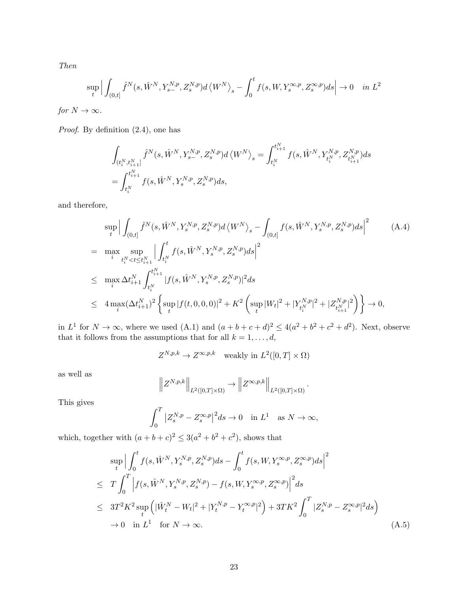Then

$$
\sup_{t} \Big| \int_{(0,t]} \hat{f}^N(s, \hat{W}^N, Y_{s-}^{N,p}, Z_s^{N,p}) d\langle W^N \rangle_s - \int_0^t f(s, W, Y_s^{\infty,p}, Z_s^{\infty,p}) ds \Big| \to 0 \quad \text{in } L^2
$$

for  $N \to \infty$ .

Proof. By definition (2.4), one has

$$
\begin{aligned} &\int_{(t_i^N,t_{i+1}^N]} \widehat{f}^N(s,\hat{W}^N,Y_{s-}^{N,p},Z_{s}^{N,p}) d\left_s = \int_{t_i^N}^{t_{i+1}^N} f(s,\hat{W}^N,Y_{t_i^N}^{N,p},Z_{t_{i+1}^N}^{N,p}) ds\\ &= \int_{t_i^N}^{t_{i+1}^N} f(s,\hat{W}^N,Y_{s}^{N,p},Z_{s}^{N,p}) ds, \end{aligned}
$$

and therefore,

$$
\sup_{t} \Big| \int_{(0,t]} \hat{f}^{N}(s, \hat{W}^{N}, Y_{s}^{N,p}, Z_{s}^{N,p}) d \langle W^{N} \rangle_{s} - \int_{(0,t]} f(s, \hat{W}^{N}, Y_{s}^{N,p}, Z_{s}^{N,p}) ds \Big|^{2} \qquad (A.4)
$$
\n
$$
= \max_{i} \sup_{t_{i}^{N} < t \leq t_{i+1}^{N}} \Big| \int_{t_{i}^{N}}^{t} f(s, \hat{W}^{N}, Y_{s}^{N,p}, Z_{s}^{N,p}) ds \Big|^{2}
$$
\n
$$
\leq \max_{i} \Delta t_{i+1}^{N} \int_{t_{i}^{N}}^{t_{i+1}^{N}} |f(s, \hat{W}^{N}, Y_{s}^{N,p}, Z_{s}^{N,p})|^{2} ds
$$
\n
$$
\leq 4 \max_{i} (\Delta t_{i+1}^{N})^{2} \Big\{ \sup_{t} |f(t, 0, 0, 0)|^{2} + K^{2} \Big( \sup_{t} |W_{t}|^{2} + |Y_{t_{i}^{N}, p}^{N,p}|^{2} + |Z_{t_{i+1}^{N}, p}^{N,p}|^{2} \Big) \Big\} \to 0,
$$

in  $L^1$  for  $N \to \infty$ , where we used  $(A.1)$  and  $(a+b+c+d)^2 \le 4(a^2+b^2+c^2+d^2)$ . Next, observe that it follows from the assumptions that for all  $k = 1, \ldots, d$ ,

$$
Z^{N,p,k} \to Z^{\infty,p,k} \quad \text{weakly in } L^2([0,T] \times \Omega)
$$

as well as

$$
\left\| Z^{N,p,k} \right\|_{L^2([0,T]\times\Omega)} \to \left\| Z^{\infty,p,k} \right\|_{L^2([0,T]\times\Omega)}.
$$

This gives

$$
\int_0^T |Z_s^{N,p} - Z_s^{\infty,p}|^2 ds \to 0 \quad \text{in } L^1 \quad \text{as } N \to \infty,
$$

which, together with  $(a+b+c)^2 \leq 3(a^2+b^2+c^2)$ , shows that

$$
\sup_{t} \Big| \int_{0}^{t} f(s, \hat{W}^{N}, Y_{s}^{N,p}, Z_{s}^{N,p}) ds - \int_{0}^{t} f(s, W, Y_{s}^{\infty, p}, Z_{s}^{\infty, p}) ds \Big|^{2}
$$
  
\n
$$
\leq T \int_{0}^{T} \Big| f(s, \hat{W}^{N}, Y_{s}^{N,p}, Z_{s}^{N,p}) - f(s, W, Y_{s}^{\infty, p}, Z_{s}^{\infty, p}) \Big|^{2} ds
$$
  
\n
$$
\leq 3T^{2} K^{2} \sup_{t} \Big( |\hat{W}_{t}^{N} - W_{t}|^{2} + |Y_{t}^{N,p} - Y_{t}^{\infty, p}|^{2} \Big) + 3TK^{2} \int_{0}^{T} |Z_{s}^{N,p} - Z_{s}^{\infty, p}|^{2} ds \Big)
$$
  
\n
$$
\to 0 \quad \text{in } L^{1} \quad \text{for } N \to \infty.
$$
 (A.5)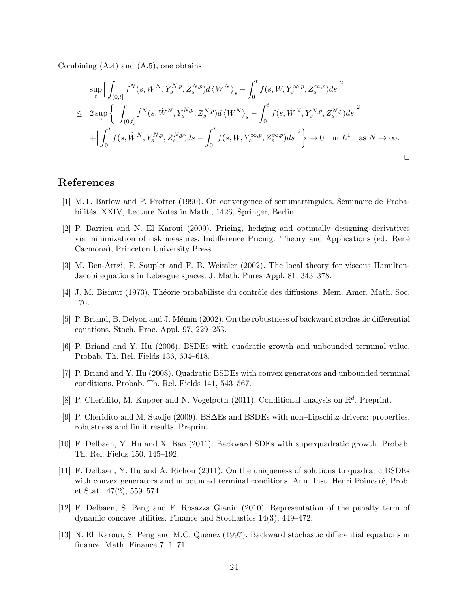Combining  $(A.4)$  and  $(A.5)$ , one obtains

$$
\sup_{t} \Big| \int_{(0,t]} \hat{f}^{N}(s, \hat{W}^{N}, Y_{s-}^{N,p}, Z_{s}^{N,p}) d\langle W^{N} \rangle_{s} - \int_{0}^{t} f(s, W, Y_{s}^{\infty, p}, Z_{s}^{\infty, p}) ds \Big|^{2}
$$
  

$$
\leq 2 \sup_{t} \Big\{ \Big| \int_{(0,t]} \hat{f}^{N}(s, \hat{W}^{N}, Y_{s-}^{N,p}, Z_{s}^{N,p}) d\langle W^{N} \rangle_{s} - \int_{0}^{t} f(s, \hat{W}^{N}, Y_{s}^{N,p}, Z_{s}^{N,p}) ds \Big|^{2}
$$
  

$$
+ \Big| \int_{0}^{t} f(s, \hat{W}^{N}, Y_{s}^{N,p}, Z_{s}^{N,p}) ds - \int_{0}^{t} f(s, W, Y_{s}^{\infty, p}, Z_{s}^{\infty, p}) ds \Big|^{2} \Big\} \to 0 \quad \text{in } L^{1} \quad \text{as } N \to \infty.
$$

## References

- [1] M.T. Barlow and P. Protter (1990). On convergence of semimartingales. Séminaire de Probabilités. XXIV, Lecture Notes in Math., 1426, Springer, Berlin.
- [2] P. Barrieu and N. El Karoui (2009). Pricing, hedging and optimally designing derivatives via minimization of risk measures. Indifference Pricing: Theory and Applications (ed: Ren´e Carmona), Princeton University Press.
- [3] M. Ben-Artzi, P. Souplet and F. B. Weissler (2002). The local theory for viscous Hamilton-Jacobi equations in Lebesgue spaces. J. Math. Pures Appl. 81, 343–378.
- [4] J. M. Bismut (1973). Théorie probabiliste du contrôle des diffusions. Mem. Amer. Math. Soc. 176.
- [5] P. Briand, B. Delyon and J. Mémin (2002). On the robustness of backward stochastic differential equations. Stoch. Proc. Appl. 97, 229–253.
- [6] P. Briand and Y. Hu (2006). BSDEs with quadratic growth and unbounded terminal value. Probab. Th. Rel. Fields 136, 604–618.
- [7] P. Briand and Y. Hu (2008). Quadratic BSDEs with convex generators and unbounded terminal conditions. Probab. Th. Rel. Fields 141, 543–567.
- [8] P. Cheridito, M. Kupper and N. Vogelpoth (2011). Conditional analysis on  $\mathbb{R}^d$ . Preprint.
- [9] P. Cheridito and M. Stadje (2009). BS∆Es and BSDEs with non–Lipschitz drivers: properties, robustness and limit results. Preprint.
- [10] F. Delbaen, Y. Hu and X. Bao (2011). Backward SDEs with superquadratic growth. Probab. Th. Rel. Fields 150, 145–192.
- [11] F. Delbaen, Y. Hu and A. Richou (2011). On the uniqueness of solutions to quadratic BSDEs with convex generators and unbounded terminal conditions. Ann. Inst. Henri Poincaré, Prob. et Stat., 47(2), 559–574.
- [12] F. Delbaen, S. Peng and E. Rosazza Gianin (2010). Representation of the penalty term of dynamic concave utilities. Finance and Stochastics 14(3), 449–472.
- [13] N. El–Karoui, S. Peng and M.C. Quenez (1997). Backward stochastic differential equations in finance. Math. Finance 7, 1–71.